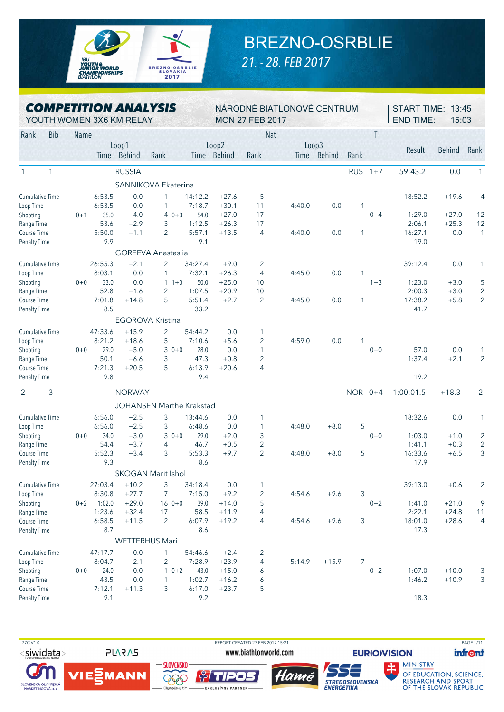

## BREZNO-OSRBLIE

*21. - 28. FEB 2017*

| <b>COMPETITION ANALYSIS</b> |  |
|-----------------------------|--|
| YOUTH WOMEN 3X6 KM RELAY    |  |

NÁRODNÉ BIATLONOVÉ CENTRUM MON 27 FEB 2017

START TIME: 13:45 END TIME: 15:03

|                        |              | $\mathbf{v}$ $\mathbf{v}$ $\mathbf{v}$ ivi |             | <b>UNU INDITILLATE</b> |                                 |             | , IVIUI 1 1 1 1 1 |                |        |               |              |         |           |         |                          |
|------------------------|--------------|--------------------------------------------|-------------|------------------------|---------------------------------|-------------|-------------------|----------------|--------|---------------|--------------|---------|-----------|---------|--------------------------|
| Rank                   | <b>Bib</b>   | Name                                       |             |                        |                                 |             |                   | <b>Nat</b>     |        |               |              | T       |           |         |                          |
|                        |              |                                            |             | Loop1                  |                                 |             | Loop2             |                | Loop3  |               |              |         |           |         |                          |
|                        |              |                                            | <b>Time</b> | Behind                 | Rank                            | <b>Time</b> | Behind            | Rank           | Time   | <b>Behind</b> | Rank         |         | Result    | Behind  | Rank                     |
| $\mathbf{1}$           | $\mathbf{1}$ |                                            |             | <b>RUSSIA</b>          |                                 |             |                   |                |        |               | RUS 1+7      |         | 59:43.2   | 0.0     | 1                        |
|                        |              |                                            |             |                        | SANNIKOVA Ekaterina             |             |                   |                |        |               |              |         |           |         |                          |
| <b>Cumulative Time</b> |              |                                            | 6:53.5      | 0.0                    | 1                               | 14:12.2     | $+27.6$           | 5              |        |               |              |         | 18:52.2   | $+19.6$ | $\angle$                 |
| Loop Time              |              |                                            | 6:53.5      | 0.0                    | 1                               | 7:18.7      | $+30.1$           | 11             | 4:40.0 | 0.0           | 1            |         |           |         |                          |
| Shooting               |              | $0 + 1$                                    | 35.0        | $+4.0$                 | $40+3$                          | 54.0        | $+27.0$           | 17             |        |               |              | $0 + 4$ | 1:29.0    | $+27.0$ | 12                       |
| Range Time             |              |                                            | 53.6        | $+2.9$                 | 3                               | 1:12.5      | $+26.3$           | 17             |        |               |              |         | 2:06.1    | $+25.3$ | 12                       |
| Course Time            |              |                                            | 5:50.0      | $+1.1$                 | 2                               | 5:57.1      | $+13.5$           | $\overline{4}$ | 4:40.0 | 0.0           | $\mathbf{1}$ |         | 16:27.1   | 0.0     | 1                        |
| <b>Penalty Time</b>    |              |                                            | 9.9         |                        |                                 | 9.1         |                   |                |        |               |              |         | 19.0      |         |                          |
|                        |              |                                            |             |                        | <b>GOREEVA Anastasiia</b>       |             |                   |                |        |               |              |         |           |         |                          |
| <b>Cumulative Time</b> |              |                                            | 26:55.3     | $+2.1$                 | $\overline{2}$                  | 34:27.4     | $+9.0$            | $\overline{2}$ |        |               |              |         | 39:12.4   | 0.0     | 1                        |
| Loop Time              |              |                                            | 8:03.1      | 0.0                    | $\mathbf{1}$                    | 7:32.1      | $+26.3$           | $\overline{4}$ | 4:45.0 | 0.0           | $\mathbf{1}$ |         |           |         |                          |
| Shooting               |              | $0 + 0$                                    | 33.0        | 0.0                    | $11+3$                          | 50.0        | $+25.0$           | 10             |        |               |              | $1 + 3$ | 1:23.0    | $+3.0$  | 5                        |
| Range Time             |              |                                            | 52.8        | $+1.6$                 | $\overline{2}$                  | 1:07.5      | $+20.9$           | 10             |        |               |              |         | 2:00.3    | $+3.0$  | 2                        |
| Course Time            |              |                                            | 7:01.8      | $+14.8$                | 5                               | 5:51.4      | $+2.7$            | 2              | 4:45.0 | 0.0           | 1            |         | 17:38.2   | $+5.8$  | 2                        |
| <b>Penalty Time</b>    |              |                                            | 8.5         |                        |                                 | 33.2        |                   |                |        |               |              |         | 41.7      |         |                          |
|                        |              |                                            |             |                        | <b>EGOROVA Kristina</b>         |             |                   |                |        |               |              |         |           |         |                          |
| <b>Cumulative Time</b> |              |                                            | 47:33.6     | $+15.9$                | 2                               | 54:44.2     | 0.0               | 1              |        |               |              |         |           |         |                          |
| Loop Time              |              |                                            | 8:21.2      | $+18.6$                | 5                               | 7:10.6      | $+5.6$            | $\overline{2}$ | 4:59.0 | 0.0           | 1            |         |           |         |                          |
| Shooting               |              | $0 + 0$                                    | 29.0        | $+5.0$                 | $30+0$                          | 28.0        | 0.0               | $\mathbf{1}$   |        |               |              | $0 + 0$ | 57.0      | 0.0     | 1                        |
| Range Time             |              |                                            | 50.1        | $+6.6$                 | 3                               | 47.3        | $+0.8$            | 2              |        |               |              |         | 1:37.4    | $+2.1$  | 2                        |
| Course Time            |              |                                            | 7:21.3      | $+20.5$                | 5                               | 6:13.9      | $+20.6$           | 4              |        |               |              |         |           |         |                          |
| <b>Penalty Time</b>    |              |                                            | 9.8         |                        |                                 | 9.4         |                   |                |        |               |              |         | 19.2      |         |                          |
| 2                      | 3            |                                            |             | <b>NORWAY</b>          |                                 |             |                   |                |        |               | NOR 0+4      |         | 1:00:01.5 | $+18.3$ | $\overline{2}$           |
|                        |              |                                            |             |                        | <b>JOHANSEN Marthe Krakstad</b> |             |                   |                |        |               |              |         |           |         |                          |
| <b>Cumulative Time</b> |              |                                            | 6:56.0      | $+2.5$                 | 3                               | 13:44.6     | 0.0               | 1              |        |               |              |         | 18:32.6   | 0.0     |                          |
| Loop Time              |              |                                            | 6:56.0      | $+2.5$                 | 3                               | 6:48.6      | 0.0               | 1              | 4:48.0 | $+8.0$        | 5            |         |           |         |                          |
| Shooting               |              | $0 + 0$                                    | 34.0        | $+3.0$                 | $30+0$                          | 29.0        | $+2.0$            | 3              |        |               |              | $0 + 0$ | 1:03.0    | $+1.0$  | 2                        |
| Range Time             |              |                                            | 54.4        | $+3.7$                 | 4                               | 46.7        | $+0.5$            | $\overline{2}$ |        |               |              |         | 1:41.1    | $+0.3$  | 2                        |
| Course Time            |              |                                            | 5:52.3      | $+3.4$                 | 3                               | 5:53.3      | $+9.7$            | $\overline{2}$ | 4:48.0 | $+8.0$        | 5            |         | 16:33.6   | $+6.5$  | G                        |
| <b>Penalty Time</b>    |              |                                            | 9.3         |                        |                                 | 8.6         |                   |                |        |               |              |         | 17.9      |         |                          |
|                        |              |                                            |             |                        | <b>SKOGAN Marit Ishol</b>       |             |                   |                |        |               |              |         |           |         |                          |
| <b>Cumulative Time</b> |              |                                            | 27:03.4     | $+10.2$                | 3                               | 34:18.4     | 0.0               | 1              |        |               |              |         | 39:13.0   | $+0.6$  |                          |
| Loop Time              |              |                                            | 8:30.8      | $+27.7$                | $\overline{7}$                  | 7:15.0      | $+9.2$            | $\overline{2}$ | 4:54.6 | $+9.6$        | 3            |         |           |         |                          |
| Shooting               |              | $0 + 2$                                    | 1:02.0      | $+29.0$                | $160++0$                        | 39.0        | $+14.0$           | 5              |        |               |              | $0+2$   | 1:41.0    | $+21.0$ | ç                        |
| Range Time             |              |                                            | 1:23.6      | $+32.4$                | 17                              | 58.5        | $+11.9$           | 4              |        |               |              |         | 2:22.1    | $+24.8$ | 11                       |
| Course Time            |              |                                            | 6:58.5      | $+11.5$                | $\overline{2}$                  | 6:07.9      | $+19.2$           | 4              | 4:54.6 | $+9.6$        | 3            |         | 18:01.0   | $+28.6$ | $\overline{\mathcal{L}}$ |
| <b>Penalty Time</b>    |              |                                            | 8.7         |                        |                                 | 8.6         |                   |                |        |               |              |         | 17.3      |         |                          |
|                        |              |                                            |             |                        | <b>WETTERHUS Mari</b>           |             |                   |                |        |               |              |         |           |         |                          |
| <b>Cumulative Time</b> |              |                                            | 47:17.7     | 0.0                    | 1                               | 54:46.6     | $+2.4$            | $\overline{2}$ |        |               |              |         |           |         |                          |
| Loop Time              |              |                                            | 8:04.7      | $+2.1$                 | 2                               | 7:28.9      | $+23.9$           | 4              | 5:14.9 | $+15.9$       | 7            |         |           |         |                          |
| Shooting               |              | $0+0$                                      | 24.0        | 0.0                    | $10+2$                          | 43.0        | $+15.0$           | 6              |        |               |              | $0 + 2$ | 1:07.0    | $+10.0$ | З                        |

 77C V1.0 REPORT CREATED 27 FEB 2017 15:21 PAGE 1/11<siwidata>

SLOVENSKÁ OLYMPIJSKÁ<br>MARKETINGOVÁ, a. s.

**PLARAS** VIE **PMANN** 

Course Time 7:12.1 +11.3 3 6:17.0 +23.7 5



Penalty Time 9.1 9.2 18.3



Range Time 43.5 0.0 1 1:02.7 +16.2 6 1:46.2 +10.9 3



**EURIO)VISION MINISTRY**  **infront** 

OF EDUCATION, SCIENCE, OF THE SLOVAK REPUBLIC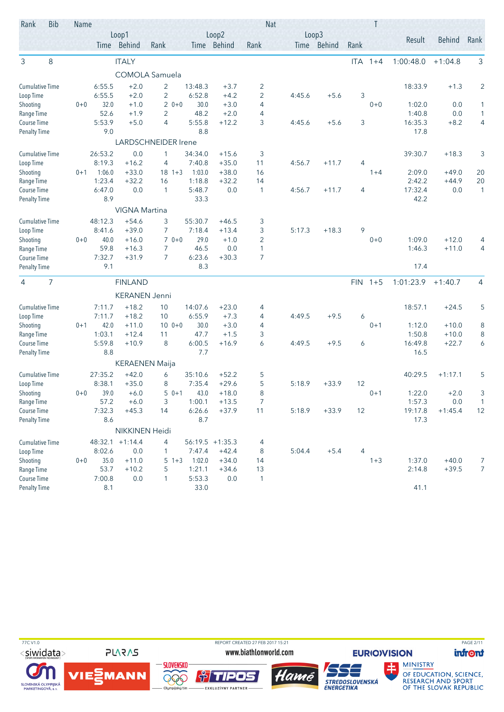| Rank                                | <b>Bib</b> | Name    |         |                       |                            |         |                    | <b>Nat</b>     |        |             |            |         |           |               |                |
|-------------------------------------|------------|---------|---------|-----------------------|----------------------------|---------|--------------------|----------------|--------|-------------|------------|---------|-----------|---------------|----------------|
|                                     |            |         |         | Loop1                 |                            |         | Loop2              |                |        | Loop3       |            |         | Result    | <b>Behind</b> | Rank           |
|                                     |            |         |         | Time Behind           | Rank                       |         | Time Behind        | Rank           |        | Time Behind | Rank       |         |           |               |                |
| 3                                   | 8          |         |         | <b>ITALY</b>          |                            |         |                    |                |        |             | <b>ITA</b> | $1 + 4$ | 1:00:48.0 | $+1:04.8$     | 3              |
|                                     |            |         |         |                       | <b>COMOLA Samuela</b>      |         |                    |                |        |             |            |         |           |               |                |
| <b>Cumulative Time</b>              |            |         | 6:55.5  | $+2.0$                | $\overline{2}$             | 13:48.3 | $+3.7$             | 2              |        |             |            |         | 18:33.9   | $+1.3$        | $\overline{2}$ |
| Loop Time                           |            |         | 6:55.5  | $+2.0$                | $\overline{c}$             | 6:52.8  | $+4.2$             | $\overline{2}$ | 4:45.6 | $+5.6$      | 3          |         |           |               |                |
| Shooting                            |            | $0 + 0$ | 32.0    | $+1.0$                | $20+0$                     | 30.0    | $+3.0$             | 4              |        |             |            | $0 + 0$ | 1:02.0    | 0.0           | 1              |
| Range Time                          |            |         | 52.6    | $+1.9$                | $\overline{2}$             | 48.2    | $+2.0$             | $\overline{4}$ |        |             |            |         | 1:40.8    | 0.0           | 1              |
| Course Time                         |            |         | 5:53.9  | $+5.0$                | 4                          | 5:55.8  | $+12.2$            | 3              | 4:45.6 | $+5.6$      | 3          |         | 16:35.3   | $+8.2$        | 4              |
| <b>Penalty Time</b>                 |            |         | 9.0     |                       |                            | 8.8     |                    |                |        |             |            |         | 17.8      |               |                |
|                                     |            |         | 26:53.2 | 0.0                   | <b>LARDSCHNEIDER Irene</b> | 34:34.0 |                    |                |        |             |            |         | 39:30.7   |               |                |
| <b>Cumulative Time</b><br>Loop Time |            |         | 8:19.3  | $+16.2$               | 1<br>4                     | 7:40.8  | $+15.6$<br>$+35.0$ | 3<br>11        | 4:56.7 | $+11.7$     | 4          |         |           | $+18.3$       | 3              |
| Shooting                            |            | $0 + 1$ | 1:06.0  | $+33.0$               | $18 \t1+3$                 | 1:03.0  | $+38.0$            | 16             |        |             |            | $1 + 4$ | 2:09.0    | $+49.0$       | 20             |
| Range Time                          |            |         | 1:23.4  | $+32.2$               | 16                         | 1:18.8  | $+32.2$            | 14             |        |             |            |         | 2:42.2    | $+44.9$       | 20             |
| Course Time                         |            |         | 6:47.0  | 0.0                   | $\mathbf{1}$               | 5:48.7  | 0.0                | $\mathbf{1}$   | 4:56.7 | $+11.7$     | 4          |         | 17:32.4   | 0.0           | 1              |
| <b>Penalty Time</b>                 |            |         | 8.9     |                       |                            | 33.3    |                    |                |        |             |            |         | 42.2      |               |                |
|                                     |            |         |         | <b>VIGNA Martina</b>  |                            |         |                    |                |        |             |            |         |           |               |                |
| <b>Cumulative Time</b>              |            |         | 48:12.3 | $+54.6$               | 3                          | 55:30.7 | $+46.5$            | 3              |        |             |            |         |           |               |                |
| Loop Time                           |            |         | 8:41.6  | $+39.0$               | $\overline{7}$             | 7:18.4  | $+13.4$            | 3              | 5:17.3 | $+18.3$     | 9          |         |           |               |                |
| Shooting                            |            | $0 + 0$ | 40.0    | $+16.0$               | $70+0$                     | 29.0    | $+1.0$             | $\overline{2}$ |        |             |            | $0 + 0$ | 1:09.0    | $+12.0$       | 4              |
| Range Time                          |            |         | 59.8    | $+16.3$               | 7                          | 46.5    | 0.0                | $\mathbf{1}$   |        |             |            |         | 1:46.3    | $+11.0$       | 4              |
| Course Time                         |            |         | 7:32.7  | $+31.9$               | 7                          | 6:23.6  | $+30.3$            | $\overline{7}$ |        |             |            |         |           |               |                |
| <b>Penalty Time</b>                 |            |         | 9.1     |                       |                            | 8.3     |                    |                |        |             |            |         | 17.4      |               |                |
| 4                                   | 7          |         |         | <b>FINLAND</b>        |                            |         |                    |                |        |             | <b>FIN</b> | $1 + 5$ | 1:01:23.9 | $+1:40.7$     | 4              |
|                                     |            |         |         | <b>KERANEN Jenni</b>  |                            |         |                    |                |        |             |            |         |           |               |                |
| <b>Cumulative Time</b>              |            |         | 7:11.7  | $+18.2$               | 10                         | 14:07.6 | $+23.0$            | 4              |        |             |            |         | 18:57.1   | $+24.5$       | 5              |
| Loop Time                           |            |         | 7:11.7  | $+18.2$               | 10                         | 6:55.9  | $+7.3$             | 4              | 4:49.5 | $+9.5$      | 6          |         |           |               |                |
| Shooting                            |            | $0 + 1$ | 42.0    | $+11.0$               | $100+0$                    | 30.0    | $+3.0$             | 4              |        |             |            | $0 + 1$ | 1:12.0    | $+10.0$       | 8              |
| Range Time                          |            |         | 1:03.1  | $+12.4$               | 11                         | 47.7    | $+1.5$             | 3              |        |             |            |         | 1:50.8    | $+10.0$       | 8              |
| Course Time                         |            |         | 5:59.8  | $+10.9$               | 8                          | 6:00.5  | $+16.9$            | 6              | 4:49.5 | $+9.5$      | 6          |         | 16:49.8   | $+22.7$       | 6              |
| <b>Penalty Time</b>                 |            |         | 8.8     |                       |                            | 7.7     |                    |                |        |             |            |         | 16.5      |               |                |
|                                     |            |         |         | <b>KERAENEN Maija</b> |                            |         |                    |                |        |             |            |         |           |               |                |
| <b>Cumulative Time</b>              |            |         | 27:35.2 | $+42.0$               | 6                          | 35:10.6 | $+52.2$            | 5              |        |             |            |         | 40:29.5   | $+1:17.1$     | 5              |
| Loop Time                           |            |         | 8:38.1  | $+35.0$               | 8                          | 7:35.4  | $+29.6$            | 5              | 5:18.9 | $+33.9$     | 12         |         |           |               |                |
| Shooting                            |            | $0 + 0$ | 39.0    | $+6.0$                | $50+1$                     | 43.0    | $+18.0$            | 8              |        |             |            | $0 + 1$ | 1:22.0    | $+2.0$        | 3              |
| Range Time                          |            |         | 57.2    | $+6.0$                | 3                          | 1:00.1  | $+13.5$            | $\overline{7}$ |        |             |            |         | 1:57.3    | 0.0           | $\mathbf{1}$   |
| Course Time                         |            |         | 7:32.3  | $+45.3$               | 14                         | 6:26.6  | $+37.9$            | 11             | 5:18.9 | $+33.9$     | 12         |         | 19:17.8   | $+1:45.4$     | 12             |
| <b>Penalty Time</b>                 |            |         | 8.6     |                       |                            | 8.7     |                    |                |        |             |            |         | 17.3      |               |                |
|                                     |            |         |         | NIKKINEN Heidi        |                            |         |                    |                |        |             |            |         |           |               |                |
| <b>Cumulative Time</b>              |            |         |         | 48:32.1 +1:14.4       | 4                          |         | $56:19.5 + 1:35.3$ | 4              |        |             |            |         |           |               |                |
| Loop Time                           |            |         | 8:02.6  | 0.0                   | 1                          | 7:47.4  | $+42.4$            | 8              | 5:04.4 | $+5.4$      | 4          |         |           |               |                |
| Shooting                            |            | $0 + 0$ | 35.0    | $+11.0$               | $5 \t1+3$                  | 1:02.0  | $+34.0$            | 14             |        |             |            | $1 + 3$ | 1:37.0    | $+40.0$       | 7              |
| Range Time                          |            |         | 53.7    | $+10.2$               | 5                          | 1:21.1  | $+34.6$            | 13             |        |             |            |         | 2:14.8    | $+39.5$       | $\overline{7}$ |
| Course Time                         |            |         | 7:00.8  | 0.0                   | $\mathbf{1}$               | 5:53.3  | $0.0\,$            | 1              |        |             |            |         |           |               |                |
| <b>Penalty Time</b>                 |            |         | 8.1     |                       |                            | 33.0    |                    |                |        |             |            |         | 41.1      |               |                |

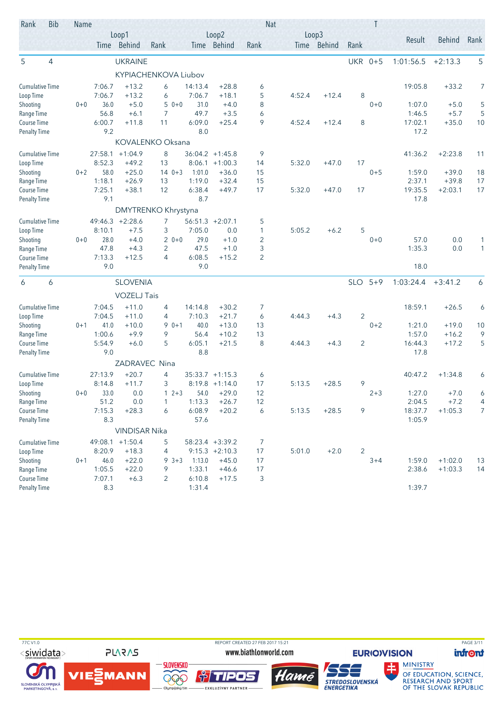| Rank                               | <b>Bib</b>     | Name    |                |                      |                      |                  |                    | <b>Nat</b>     |        |             |                | Τ       |                  |                    |              |
|------------------------------------|----------------|---------|----------------|----------------------|----------------------|------------------|--------------------|----------------|--------|-------------|----------------|---------|------------------|--------------------|--------------|
|                                    |                |         |                | Loop1                |                      |                  | Loop2              |                |        | Loop3       |                |         | Result           | <b>Behind</b>      | Rank         |
|                                    |                |         |                | Time Behind          | Rank                 |                  | Time Behind        | Rank           |        | Time Behind | Rank           |         |                  |                    |              |
| 5                                  | $\overline{4}$ |         |                | <b>UKRAINE</b>       |                      |                  |                    |                |        |             | <b>UKR</b>     | $0 + 5$ | 1:01:56.5        | $+2:13.3$          | 5            |
|                                    |                |         |                |                      | KYPIACHENKOVA Liubov |                  |                    |                |        |             |                |         |                  |                    |              |
| <b>Cumulative Time</b>             |                |         | 7:06.7         | $+13.2$              | 6                    | 14:13.4          | $+28.8$            | 6              |        |             |                |         | 19:05.8          | $+33.2$            | 7            |
| Loop Time                          |                |         | 7:06.7         | $+13.2$              | 6                    | 7:06.7           | $+18.1$            | 5              | 4:52.4 | $+12.4$     | 8              |         |                  |                    |              |
| Shooting                           |                | $0 + 0$ | 36.0           | $+5.0$               | $50+0$               | 31.0             | $+4.0$             | 8              |        |             |                | $0 + 0$ | 1:07.0           | $+5.0$             | 5            |
| Range Time                         |                |         | 56.8           | $+6.1$               | 7                    | 49.7             | $+3.5$             | 6              |        |             |                |         | 1:46.5           | $+5.7$             | 5            |
| Course Time                        |                |         | 6:00.7         | $+11.8$              | 11                   | 6:09.0           | $+25.4$            | 9              | 4:52.4 | $+12.4$     | 8              |         | 17:02.1          | $+35.0$            | 10           |
| <b>Penalty Time</b>                |                |         | 9.2            |                      |                      | 8.0              |                    |                |        |             |                |         | 17.2             |                    |              |
|                                    |                |         |                |                      | KOVALENKO Oksana     |                  |                    |                |        |             |                |         |                  |                    |              |
| <b>Cumulative Time</b>             |                |         | 27:58.1        | $+1:04.9$            | 8                    |                  | $36:04.2 +1:45.8$  | 9              |        |             |                |         | 41:36.2          | $+2:23.8$          | 11           |
| Loop Time                          |                |         | 8:52.3         | $+49.2$              | 13                   | 8:06.1           | $+1:00.3$          | 14             | 5:32.0 | $+47.0$     | 17             |         |                  |                    |              |
| Shooting                           |                | $0 + 2$ | 58.0<br>1:18.1 | $+25.0$<br>$+26.9$   | $140+3$<br>13        | 1:01.0<br>1:19.0 | $+36.0$<br>$+32.4$ | 15<br>15       |        |             |                | $0 + 5$ | 1:59.0<br>2:37.1 | $+39.0$<br>$+39.8$ | 18<br>17     |
| Range Time<br>Course Time          |                |         | 7:25.1         | $+38.1$              | 12                   | 6:38.4           | $+49.7$            | 17             | 5:32.0 | $+47.0$     | 17             |         | 19:35.5          | $+2:03.1$          | 17           |
| <b>Penalty Time</b>                |                |         | 9.1            |                      |                      | 8.7              |                    |                |        |             |                |         | 17.8             |                    |              |
|                                    |                |         |                |                      | DMYTRENKO Khrystyna  |                  |                    |                |        |             |                |         |                  |                    |              |
| <b>Cumulative Time</b>             |                |         |                | 49:46.3 +2:28.6      | 7                    |                  | $56:51.3 +2:07.1$  | 5              |        |             |                |         |                  |                    |              |
| Loop Time                          |                |         | 8:10.1         | $+7.5$               | 3                    | 7:05.0           | 0.0                | $\mathbf{1}$   | 5:05.2 | $+6.2$      | 5              |         |                  |                    |              |
| Shooting                           |                | $0 + 0$ | 28.0           | $+4.0$               | $20+0$               | 29.0             | $+1.0$             | $\overline{2}$ |        |             |                | $0 + 0$ | 57.0             | 0.0                | 1            |
| Range Time                         |                |         | 47.8           | $+4.3$               | 2                    | 47.5             | $+1.0$             | 3              |        |             |                |         | 1:35.3           | 0.0                | $\mathbf{1}$ |
| Course Time                        |                |         | 7:13.3         | $+12.5$              | 4                    | 6:08.5           | $+15.2$            | $\overline{2}$ |        |             |                |         |                  |                    |              |
| <b>Penalty Time</b>                |                |         | 9.0            |                      |                      | 9.0              |                    |                |        |             |                |         | 18.0             |                    |              |
| 6                                  | 6              |         |                | <b>SLOVENIA</b>      |                      |                  |                    |                |        |             | <b>SLO</b>     | $5 + 9$ | 1:03:24.4        | $+3:41.2$          | 6            |
|                                    |                |         |                | <b>VOZELJ Tais</b>   |                      |                  |                    |                |        |             |                |         |                  |                    |              |
| <b>Cumulative Time</b>             |                |         | 7:04.5         | $+11.0$              | 4                    | 14:14.8          | $+30.2$            | 7              |        |             |                |         | 18:59.1          | $+26.5$            | 6            |
| Loop Time                          |                |         | 7:04.5         | $+11.0$              | 4                    | 7:10.3           | $+21.7$            | 6              | 4:44.3 | $+4.3$      | $\overline{2}$ |         |                  |                    |              |
| Shooting                           |                | $0 + 1$ | 41.0           | $+10.0$              | $90+1$               | 40.0             | $+13.0$            | 13             |        |             |                | $0 + 2$ | 1:21.0           | $+19.0$            | 10           |
| Range Time                         |                |         | 1:00.6         | $+9.9$               | 9                    | 56.4             | $+10.2$            | 13             |        |             |                |         | 1:57.0           | $+16.2$            | 9            |
| Course Time                        |                |         | 5:54.9         | $+6.0$               | 5                    | 6:05.1           | $+21.5$            | 8              | 4:44.3 | $+4.3$      | $\overline{2}$ |         | 16:44.3          | $+17.2$            | 5            |
| <b>Penalty Time</b>                |                |         | 9.0            |                      |                      | 8.8              |                    |                |        |             |                |         | 17.8             |                    |              |
|                                    |                |         |                | ZADRAVEC             | Nina                 |                  |                    |                |        |             |                |         |                  |                    |              |
| <b>Cumulative Time</b>             |                |         | 27:13.9        | $+20.7$              | 4                    |                  | $35:33.7 +1:15.3$  | 6              |        |             |                |         | 40:47.2          | $+1:34.8$          | 6            |
| Loop Time                          |                |         | 8:14.8         | $+11.7$              | 3                    |                  | $8:19.8 +1:14.0$   | 17             | 5:13.5 | $+28.5$     | 9              |         |                  |                    |              |
| Shooting                           |                | $0 + 0$ | 33.0           | 0.0                  | $12+3$               | 54.0             | $+29.0$            | 12             |        |             |                | $2 + 3$ | 1:27.0           | $+7.0$             | 6            |
| Range Time                         |                |         | 51.2           | 0.0                  | $\mathbf{1}$         | 1:13.3           | $+26.7$            | 12             |        |             |                |         | 2:04.5           | $+7.2$             | 4            |
| Course Time                        |                |         | 7:15.3         | $+28.3$              | 6                    | 6:08.9           | $+20.2$            | 6              | 5:13.5 | $+28.5$     | 9              |         | 18:37.7          | $+1:05.3$          | 7            |
| <b>Penalty Time</b>                |                |         | 8.3            |                      |                      | 57.6             |                    |                |        |             |                |         | 1:05.9           |                    |              |
|                                    |                |         |                | <b>VINDISAR Nika</b> |                      |                  |                    |                |        |             |                |         |                  |                    |              |
| <b>Cumulative Time</b>             |                |         |                | 49:08.1 +1:50.4      | 5                    |                  | 58:23.4 +3:39.2    | 7              |        |             |                |         |                  |                    |              |
| Loop Time                          |                |         | 8:20.9         | $+18.3$              | 4                    |                  | $9:15.3 +2:10.3$   | 17             | 5:01.0 | $+2.0$      | 2              |         |                  |                    |              |
| Shooting                           |                | $0 + 1$ | 46.0           | $+22.0$              | $9 \, 3 + 3$         | 1:13.0           | $+45.0$            | 17             |        |             |                | $3 + 4$ | 1:59.0           | $+1:02.0$          | 13           |
| Range Time                         |                |         | 1:05.5         | $+22.0$              | 9                    | 1:33.1           | $+46.6$            | 17             |        |             |                |         | 2:38.6           | $+1:03.3$          | 14           |
| Course Time<br><b>Penalty Time</b> |                |         | 7:07.1<br>8.3  | $+6.3$               | 2                    | 6:10.8<br>1:31.4 | $+17.5$            | 3              |        |             |                |         | 1:39.7           |                    |              |
|                                    |                |         |                |                      |                      |                  |                    |                |        |             |                |         |                  |                    |              |

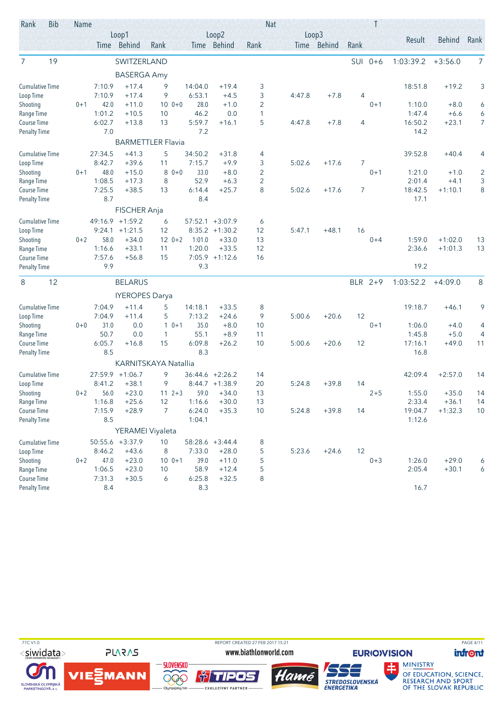| Rank                      | <b>Bib</b> | Name    |                  |                       |                          |                  |                    |                     | <b>Nat</b> |             |            | Τ       |                   |                        |                |
|---------------------------|------------|---------|------------------|-----------------------|--------------------------|------------------|--------------------|---------------------|------------|-------------|------------|---------|-------------------|------------------------|----------------|
|                           |            |         |                  | Loop1                 |                          |                  | Loop2              |                     |            | Loop3       |            |         | Result            | <b>Behind</b>          | Rank           |
|                           |            |         |                  | Time Behind           | Rank                     |                  | Time Behind        | Rank                |            | Time Behind | Rank       |         |                   |                        |                |
| 7                         | 19         |         |                  | SWITZERLAND           |                          |                  |                    |                     |            |             | <b>SUI</b> | $0 + 6$ | 1:03:39.2         | $+3:56.0$              | $\overline{7}$ |
|                           |            |         |                  | <b>BASERGA Amy</b>    |                          |                  |                    |                     |            |             |            |         |                   |                        |                |
| <b>Cumulative Time</b>    |            |         | 7:10.9           | $+17.4$               | 9                        | 14:04.0          | $+19.4$            | 3                   |            |             |            |         | 18:51.8           | $+19.2$                | 3              |
| Loop Time                 |            |         | 7:10.9           | $+17.4$               | 9                        | 6:53.1           | $+4.5$             | 3                   | 4:47.8     | $+7.8$      | 4          |         |                   |                        |                |
| Shooting                  |            | $0 + 1$ | 42.0             | $+11.0$               | $100 + 0$                | 28.0             | $+1.0$             | 2                   |            |             |            | $0 + 1$ | 1:10.0            | $+8.0$                 | 6              |
| Range Time                |            |         | 1:01.2           | $+10.5$               | 10                       | 46.2             | 0.0                | $\mathbf{1}$        |            |             |            |         | 1:47.4            | $+6.6$                 | 6              |
| Course Time               |            |         | 6:02.7           | $+13.8$               | 13                       | 5:59.7           | $+16.1$            | 5                   | 4:47.8     | $+7.8$      | 4          |         | 16:50.2           | $+23.1$                | $\overline{7}$ |
| <b>Penalty Time</b>       |            |         | 7.0              |                       |                          | 7.2              |                    |                     |            |             |            |         | 14.2              |                        |                |
|                           |            |         |                  |                       | <b>BARMETTLER Flavia</b> |                  |                    |                     |            |             |            |         |                   |                        |                |
| Cumulative Time           |            |         | 27:34.5          | $+41.3$               | 5                        | 34:50.2          | $+31.8$            | 4                   |            |             |            |         | 39:52.8           | $+40.4$                | 4              |
| Loop Time                 |            |         | 8:42.7           | $+39.6$               | 11                       | 7:15.7           | $+9.9$             | 3                   | 5:02.6     | $+17.6$     | 7          |         |                   |                        |                |
| Shooting                  |            | $0 + 1$ | 48.0             | $+15.0$               | $80+0$                   | 33.0             | $+8.0$             | $\overline{2}$      |            |             |            | $0 + 1$ | 1:21.0            | $+1.0$                 | 2              |
| Range Time                |            |         | 1:08.5<br>7:25.5 | $+17.3$<br>$+38.5$    | 8                        | 52.9             | $+6.3$<br>$+25.7$  | $\overline{2}$<br>8 |            | $+17.6$     |            |         | 2:01.4<br>18:42.5 | $+4.1$                 | 3<br>8         |
| Course Time               |            |         | 8.7              |                       | 13                       | 6:14.4<br>8.4    |                    |                     | 5:02.6     |             | 7          |         | 17.1              | $+1:10.1$              |                |
| <b>Penalty Time</b>       |            |         |                  |                       |                          |                  |                    |                     |            |             |            |         |                   |                        |                |
|                           |            |         |                  | FISCHER Anja          |                          |                  |                    |                     |            |             |            |         |                   |                        |                |
| <b>Cumulative Time</b>    |            |         | 49:16.9          | $+1:59.2$             | 6                        | 57:52.1          | $+3:07.9$          | 6                   |            |             |            |         |                   |                        |                |
| Loop Time                 |            |         | 9:24.1           | $+1:21.5$             | 12                       |                  | $8:35.2 +1:30.2$   | 12                  | 5:47.1     | $+48.1$     | 16         |         |                   |                        |                |
| Shooting                  |            | $0 + 2$ | 58.0<br>1:16.6   | $+34.0$<br>$+33.1$    | $120+2$<br>11            | 1:01.0<br>1:20.0 | $+33.0$<br>$+33.5$ | 13<br>12            |            |             |            | $0 + 4$ | 1:59.0<br>2:36.6  | $+1:02.0$<br>$+1:01.3$ | 13<br>13       |
| Range Time<br>Course Time |            |         | 7:57.6           | $+56.8$               | 15                       |                  | $7:05.9$ +1:12.6   | 16                  |            |             |            |         |                   |                        |                |
| <b>Penalty Time</b>       |            |         | 9.9              |                       |                          | 9.3              |                    |                     |            |             |            |         | 19.2              |                        |                |
|                           |            |         |                  |                       |                          |                  |                    |                     |            |             |            |         |                   |                        |                |
| 8                         | 12         |         |                  | <b>BELARUS</b>        |                          |                  |                    |                     |            |             |            | BLR 2+9 | 1:03:52.2         | $+4:09.0$              | 8              |
|                           |            |         |                  | <b>IYEROPES Darya</b> |                          |                  |                    |                     |            |             |            |         |                   |                        |                |
| <b>Cumulative Time</b>    |            |         | 7:04.9           | $+11.4$               | 5                        | 14:18.1          | $+33.5$            | 8                   |            |             |            |         | 19:18.7           | $+46.1$                | 9              |
| Loop Time                 |            |         | 7:04.9           | $+11.4$               | 5                        | 7:13.2           | $+24.6$            | 9                   | 5:00.6     | $+20.6$     | 12         |         |                   |                        |                |
| Shooting                  |            | $0 + 0$ | 31.0             | 0.0                   | $10+1$                   | 35.0             | $+8.0$             | 10                  |            |             |            | $0 + 1$ | 1:06.0            | $+4.0$                 | 4              |
| Range Time                |            |         | 50.7             | 0.0                   | 1                        | 55.1             | $+8.9$             | 11                  |            |             |            |         | 1:45.8            | $+5.0$                 | 4              |
| Course Time               |            |         | 6:05.7           | $+16.8$               | 15                       | 6:09.8           | $+26.2$            | 10                  | 5:00.6     | $+20.6$     | 12         |         | 17:16.1           | $+49.0$                | 11             |
| <b>Penalty Time</b>       |            |         | 8.5              |                       |                          | 8.3              |                    |                     |            |             |            |         | 16.8              |                        |                |
|                           |            |         |                  |                       | KARNITSKAYA Natallia     |                  |                    |                     |            |             |            |         |                   |                        |                |
| <b>Cumulative Time</b>    |            |         | 27:59.9          | $+1:06.7$             | 9                        |                  | $36:44.6 +2:26.2$  | 14                  |            |             |            |         | 42:09.4           | $+2:57.0$              | 14             |
| Loop Time                 |            |         | 8:41.2           | $+38.1$               | 9                        |                  | $8:44.7 +1:38.9$   | 20                  | 5:24.8     | $+39.8$     | 14         |         |                   |                        |                |
| Shooting                  |            | $0 + 2$ | 56.0             | $+23.0$               | $112+3$                  | 59.0             | $+34.0$            | 13                  |            |             |            | $2 + 5$ | 1:55.0            | $+35.0$                | 14             |
| Range Time<br>Course Time |            |         | 1:16.8           | $+25.6$               | 12                       | 1:16.6           | $+30.0$            | 13                  |            |             |            |         | 2:33.4            | $+36.1$                | 14             |
| <b>Penalty Time</b>       |            |         | 7:15.9<br>8.5    | $+28.9$               | $\overline{7}$           | 6:24.0<br>1:04.1 | $+35.3$            | 10                  | 5:24.8     | $+39.8$     | 14         |         | 19:04.7<br>1:12.6 | $+1:32.3$              | $10$           |
|                           |            |         |                  |                       |                          |                  |                    |                     |            |             |            |         |                   |                        |                |
|                           |            |         |                  |                       | YERAMEI Viyaleta         |                  |                    |                     |            |             |            |         |                   |                        |                |
| <b>Cumulative Time</b>    |            |         |                  | 50:55.6 +3:37.9       | 10                       |                  | 58:28.6 +3:44.4    | 8                   |            |             |            |         |                   |                        |                |
| Loop Time                 |            |         | 8:46.2           | $+43.6$               | 8                        | 7:33.0           | $+28.0$            | 5                   | 5:23.6     | $+24.6$     | 12         |         |                   |                        |                |
| Shooting<br>Range Time    |            | $0 + 2$ | 47.0<br>1:06.5   | $+23.0$<br>$+23.0$    | $100 + 1$<br>10          | 39.0<br>58.9     | $+11.0$<br>$+12.4$ | 5<br>5              |            |             |            | $0 + 3$ | 1:26.0<br>2:05.4  | $+29.0$<br>$+30.1$     | 6<br>6         |
| Course Time               |            |         | 7:31.3           | $+30.5$               | 6                        | 6:25.8           | $+32.5$            | 8                   |            |             |            |         |                   |                        |                |
| <b>Penalty Time</b>       |            |         | 8.4              |                       |                          | 8.3              |                    |                     |            |             |            |         | 16.7              |                        |                |
|                           |            |         |                  |                       |                          |                  |                    |                     |            |             |            |         |                   |                        |                |

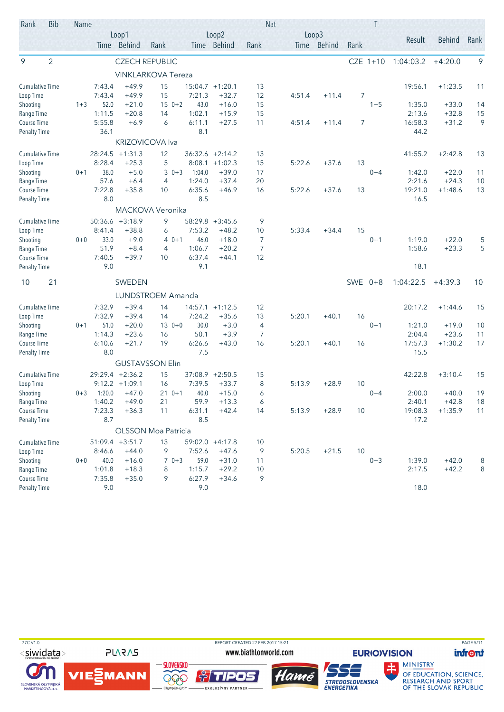| Rank                   | <b>Bib</b>     | Name    |                |                    |                            |               |                   | <b>Nat</b>     |        |             |           |            |                 |               |      |
|------------------------|----------------|---------|----------------|--------------------|----------------------------|---------------|-------------------|----------------|--------|-------------|-----------|------------|-----------------|---------------|------|
|                        |                |         |                | Loop1              |                            |               | Loop2             |                | Loop3  |             |           |            | Result          | <b>Behind</b> | Rank |
|                        |                |         |                | Time Behind        | Rank                       |               | Time Behind       | Rank           |        | Time Behind | Rank      |            |                 |               |      |
| 9                      | $\overline{2}$ |         |                |                    | <b>CZECH REPUBLIC</b>      |               |                   |                |        |             |           | $CZE$ 1+10 | 1:04:03.2       | $+4:20.0$     | 9    |
|                        |                |         |                |                    | <b>VINKLARKOVA Tereza</b>  |               |                   |                |        |             |           |            |                 |               |      |
| <b>Cumulative Time</b> |                |         | 7:43.4         | $+49.9$            | 15                         |               | $15:04.7 +1:20.1$ | 13             |        |             |           |            | 19:56.1         | $+1:23.5$     | 11   |
| Loop Time              |                |         | 7:43.4         | $+49.9$            | 15                         | 7:21.3        | $+32.7$           | 12             | 4:51.4 | $+11.4$     | 7         |            |                 |               |      |
| Shooting               |                | $1 + 3$ | 52.0           | $+21.0$            | $150+2$                    | 43.0          | $+16.0$           | 15             |        |             |           | $1 + 5$    | 1:35.0          | $+33.0$       | 14   |
| Range Time             |                |         | 1:11.5         | $+20.8$            | 14                         | 1:02.1        | $+15.9$           | 15             |        |             |           |            | 2:13.6          | $+32.8$       | 15   |
| Course Time            |                |         | 5:55.8<br>36.1 | $+6.9$             | 6                          | 6:11.1<br>8.1 | $+27.5$           | 11             | 4:51.4 | $+11.4$     | 7         |            | 16:58.3<br>44.2 | $+31.2$       | 9    |
| <b>Penalty Time</b>    |                |         |                |                    | <b>KRIZOVICOVA Iva</b>     |               |                   |                |        |             |           |            |                 |               |      |
| <b>Cumulative Time</b> |                |         | 28:24.5        | $+1:31.3$          | 12                         | 36:32.6       | $+2:14.2$         | 13             |        |             |           |            | 41:55.2         | $+2:42.8$     | 13   |
| Loop Time              |                |         | 8:28.4         | $+25.3$            | 5                          | 8:08.1        | $+1:02.3$         | 15             | 5:22.6 | $+37.6$     | 13        |            |                 |               |      |
| Shooting               |                | $0 + 1$ | 38.0           | $+5.0$             | $30+3$                     | 1:04.0        | $+39.0$           | 17             |        |             |           | $0 + 4$    | 1:42.0          | $+22.0$       | 11   |
| Range Time             |                |         | 57.6           | $+6.4$             | $\overline{4}$             | 1:24.0        | $+37.4$           | 20             |        |             |           |            | 2:21.6          | $+24.3$       | 10   |
| Course Time            |                |         | 7:22.8         | $+35.8$            | 10                         | 6:35.6        | $+46.9$           | 16             | 5:22.6 | $+37.6$     | 13        |            | 19:21.0         | $+1:48.6$     | 13   |
| <b>Penalty Time</b>    |                |         | 8.0            |                    |                            | 8.5           |                   |                |        |             |           |            | 16.5            |               |      |
|                        |                |         |                |                    | MACKOVA Veronika           |               |                   |                |        |             |           |            |                 |               |      |
| <b>Cumulative Time</b> |                |         | 50:36.6        | $+3:18.9$          | 9                          | 58:29.8       | $+3:45.6$         | 9              |        |             |           |            |                 |               |      |
| Loop Time              |                |         | 8:41.4         | $+38.8$            | 6                          | 7:53.2        | $+48.2$           | 10             | 5:33.4 | $+34.4$     | 15        |            |                 |               |      |
| Shooting               |                | $0 + 0$ | 33.0           | $+9.0$             | $40+1$                     | 46.0          | $+18.0$           | $\overline{7}$ |        |             |           | $0 + 1$    | 1:19.0          | $+22.0$       | 5    |
| Range Time             |                |         | 51.9           | $+8.4$             | 4                          | 1:06.7        | $+20.2$           | $\overline{7}$ |        |             |           |            | 1:58.6          | $+23.3$       | 5    |
| Course Time            |                |         | 7:40.5<br>9.0  | $+39.7$            | 10                         | 6:37.4<br>9.1 | $+44.1$           | 12             |        |             |           |            | 18.1            |               |      |
| <b>Penalty Time</b>    |                |         |                |                    |                            |               |                   |                |        |             |           |            |                 |               |      |
| 10                     | 21             |         |                | SWEDEN             |                            |               |                   |                |        |             | SWE $0+8$ |            | 1:04:22.5       | $+4:39.3$     | 10   |
|                        |                |         |                |                    | LUNDSTROEM Amanda          |               |                   |                |        |             |           |            |                 |               |      |
| <b>Cumulative Time</b> |                |         | 7:32.9         | $+39.4$            | 14                         | 14:57.1       | $+1:12.5$         | 12             |        |             |           |            | 20:17.2         | $+1:44.6$     | 15   |
| Loop Time              |                |         | 7:32.9         | $+39.4$            | 14                         | 7:24.2        | $+35.6$           | 13             | 5:20.1 | $+40.1$     | 16        |            |                 |               |      |
| Shooting               |                | $0 + 1$ | 51.0           | $+20.0$            | $130+0$                    | 30.0          | $+3.0$            | $\overline{4}$ |        |             |           | $0 + 1$    | 1:21.0          | $+19.0$       | 10   |
| Range Time             |                |         | 1:14.3         | $+23.6$            | 16                         | 50.1          | $+3.9$            | 7              |        |             |           |            | 2:04.4          | $+23.6$       | 11   |
| Course Time            |                |         | 6:10.6<br>8.0  | $+21.7$            | 19                         | 6:26.6<br>7.5 | $+43.0$           | 16             | 5:20.1 | $+40.1$     | 16        |            | 17:57.3<br>15.5 | $+1:30.2$     | 17   |
| <b>Penalty Time</b>    |                |         |                |                    | <b>GUSTAVSSON Elin</b>     |               |                   |                |        |             |           |            |                 |               |      |
| <b>Cumulative Time</b> |                |         |                | 29:29.4 +2:36.2    | 15                         |               | $37:08.9 +2:50.5$ | 15             |        |             |           |            | 42:22.8         | $+3:10.4$     | 15   |
| Loop Time              |                |         | 9:12.2         | $+1:09.1$          | 16                         | 7:39.5        | $+33.7$           | 8              | 5:13.9 | $+28.9$     | 10        |            |                 |               |      |
| Shooting               |                | $0 + 3$ | 1:20.0         | $+47.0$            | $210+1$                    | 40.0          | $+15.0$           | 6              |        |             |           | $0 + 4$    | 2:00.0          | $+40.0$       | 19   |
| Range Time             |                |         | 1:40.2         | $+49.0$            | 21                         | 59.9          | $+13.3$           | 6              |        |             |           |            | 2:40.1          | $+42.8$       | 18   |
| Course Time            |                |         | 7:23.3         | $+36.3$            | 11                         | 6:31.1        | $+42.4$           | 14             | 5:13.9 | $+28.9$     | 10        |            | 19:08.3         | $+1:35.9$     | 11   |
| <b>Penalty Time</b>    |                |         | 8.7            |                    |                            | 8.5           |                   |                |        |             |           |            | 17.2            |               |      |
|                        |                |         |                |                    | <b>OLSSON Moa Patricia</b> |               |                   |                |        |             |           |            |                 |               |      |
| <b>Cumulative Time</b> |                |         |                | $51:09.4 + 3:51.7$ | 13                         |               | $59:02.0 +4:17.8$ | 10             |        |             |           |            |                 |               |      |
| Loop Time              |                |         | 8:46.6         | $+44.0$            | 9                          | 7:52.6        | $+47.6$           | 9              | 5:20.5 | $+21.5$     | 10        |            |                 |               |      |
| Shooting               |                | $0+0$   | 40.0           | $+16.0$            | $70+3$                     | 59.0          | $+31.0$           | 11             |        |             |           | $0 + 3$    | 1:39.0          | $+42.0$       | 8    |
| Range Time             |                |         | 1:01.8         | $+18.3$            | 8                          | 1:15.7        | $+29.2$           | 10             |        |             |           |            | 2:17.5          | $+42.2$       | 8    |
| Course Time            |                |         | 7:35.8         | $+35.0$            | 9                          | 6:27.9        | $+34.6$           | 9              |        |             |           |            |                 |               |      |
| <b>Penalty Time</b>    |                |         | 9.0            |                    |                            | 9.0           |                   |                |        |             |           |            | 18.0            |               |      |

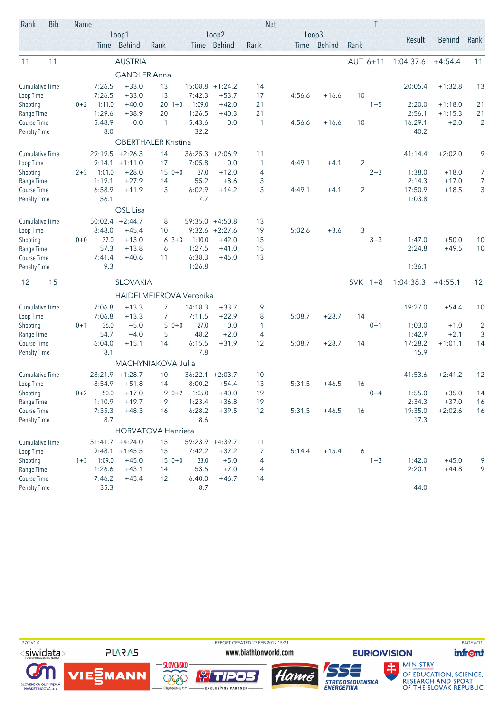| Rank                               | <b>Bib</b> | Name    |               |                      |                            |                |                      |                | <b>Nat</b> |                      |                | T        |                 |           |                |
|------------------------------------|------------|---------|---------------|----------------------|----------------------------|----------------|----------------------|----------------|------------|----------------------|----------------|----------|-----------------|-----------|----------------|
|                                    |            |         |               | Loop1<br>Time Behind | Rank                       |                | Loop2<br>Time Behind | Rank           |            | Loop3<br>Time Behind | Rank           |          | Result          | Behind    | Rank           |
| 11                                 | 11         |         |               | <b>AUSTRIA</b>       |                            |                |                      |                |            |                      |                | AUT 6+11 | 1:04:37.6       | $+4:54.4$ | 11             |
|                                    |            |         |               | <b>GANDLER Anna</b>  |                            |                |                      |                |            |                      |                |          |                 |           |                |
| <b>Cumulative Time</b>             |            |         | 7:26.5        | $+33.0$              | 13                         |                | $15:08.8$ +1:24.2    | 14             |            |                      |                |          | 20:05.4         | $+1:32.8$ | 13             |
| Loop Time                          |            |         | 7:26.5        | $+33.0$              | 13                         | 7:42.3         | $+53.7$              | 17             | 4:56.6     | $+16.6$              | 10             |          |                 |           |                |
| Shooting                           |            | $0 + 2$ | 1:11.0        | $+40.0$              | $20 \t1+3$                 | 1:09.0         | $+42.0$              | 21             |            |                      |                | $1 + 5$  | 2:20.0          | $+1:18.0$ | 21             |
| Range Time                         |            |         | 1:29.6        | $+38.9$              | 20                         | 1:26.5         | $+40.3$              | 21             |            |                      |                |          | 2:56.1          | $+1:15.3$ | 21             |
| Course Time                        |            |         | 5:48.9<br>8.0 | 0.0                  | $\overline{1}$             | 5:43.6<br>32.2 | 0.0                  | $\mathbf{1}$   | 4:56.6     | $+16.6$              | 10             |          | 16:29.1<br>40.2 | $+2.0$    | $\overline{2}$ |
| <b>Penalty Time</b>                |            |         |               |                      | <b>OBERTHALER Kristina</b> |                |                      |                |            |                      |                |          |                 |           |                |
| <b>Cumulative Time</b>             |            |         |               | $29:19.5 +2:26.3$    | 14                         | 36:25.3        | $+2:06.9$            | 11             |            |                      |                |          | 41:14.4         | $+2:02.0$ | 9              |
| Loop Time                          |            |         |               | $9:14.1 + 1:11.0$    | 17                         | 7:05.8         | 0.0                  | $\mathbf{1}$   | 4:49.1     | $+4.1$               | $\overline{2}$ |          |                 |           |                |
| Shooting                           |            | $2 + 3$ | 1:01.0        | $+28.0$              | $150+0$                    | 37.0           | $+12.0$              | 4              |            |                      |                | $2 + 3$  | 1:38.0          | $+18.0$   | 7              |
| Range Time                         |            |         | 1:19.1        | $+27.9$              | 14                         | 55.2           | $+8.6$               | 3              |            |                      |                |          | 2:14.3          | $+17.0$   | 7              |
| Course Time                        |            |         | 6:58.9        | $+11.9$              | 3                          | 6:02.9         | $+14.2$              | 3              | 4:49.1     | $+4.1$               | $\overline{2}$ |          | 17:50.9         | $+18.5$   | 3              |
| <b>Penalty Time</b>                |            |         | 56.1          |                      |                            | 7.7            |                      |                |            |                      |                |          | 1:03.8          |           |                |
|                                    |            |         |               | OSL Lisa             |                            |                |                      |                |            |                      |                |          |                 |           |                |
| <b>Cumulative Time</b>             |            |         | 50:02.4       | $+2:44.7$            | 8                          | 59:35.0        | $+4:50.8$            | 13             |            |                      |                |          |                 |           |                |
| Loop Time                          |            |         | 8:48.0        | $+45.4$              | 10                         |                | $9:32.6 +2:27.6$     | 19             | 5:02.6     | $+3.6$               | 3              |          |                 |           |                |
| Shooting                           |            | $0 + 0$ | 37.0          | $+13.0$              | $63+3$                     | 1:10.0         | $+42.0$              | 15             |            |                      |                | $3 + 3$  | 1:47.0          | $+50.0$   | 10             |
| Range Time                         |            |         | 57.3          | $+13.8$              | 6                          | 1:27.5         | $+41.0$              | 15             |            |                      |                |          | 2:24.8          | $+49.5$   | 10             |
| Course Time                        |            |         | 7:41.4        | $+40.6$              | 11                         | 6:38.3         | $+45.0$              | 13             |            |                      |                |          |                 |           |                |
| <b>Penalty Time</b>                |            |         | 9.3           |                      |                            | 1:26.8         |                      |                |            |                      |                |          | 1:36.1          |           |                |
| 12                                 | 15         |         |               | <b>SLOVAKIA</b>      |                            |                |                      |                |            |                      | SVK 1+8        |          | 1:04:38.3       | $+4:55.1$ | 12             |
|                                    |            |         |               |                      | HAIDELMEIEROVA Veronika    |                |                      |                |            |                      |                |          |                 |           |                |
| <b>Cumulative Time</b>             |            |         | 7:06.8        | $+13.3$              | 7                          | 14:18.3        | $+33.7$              | 9              |            |                      |                |          | 19:27.0         | $+54.4$   | 10             |
| Loop Time                          |            |         | 7:06.8        | $+13.3$              | 7                          | 7:11.5         | $+22.9$              | 8              | 5:08.7     | $+28.7$              | 14             |          |                 |           |                |
| Shooting                           |            | $0 + 1$ | 36.0          | $+5.0$               | 5<br>$0 + 0$               | 27.0           | 0.0                  | 1              |            |                      |                | $0 + 1$  | 1:03.0          | $+1.0$    | $\overline{c}$ |
| Range Time                         |            |         | 54.7          | $+4.0$               | 5                          | 48.2           | $+2.0$               | 4              |            |                      |                |          | 1:42.9          | $+2.1$    | 3              |
| Course Time<br><b>Penalty Time</b> |            |         | 6:04.0<br>8.1 | $+15.1$              | 14                         | 6:15.5<br>7.8  | $+31.9$              | 12             | 5:08.7     | $+28.7$              | 14             |          | 17:28.2<br>15.9 | $+1:01.1$ | 14             |
|                                    |            |         |               |                      | MACHYNIAKOVA Julia         |                |                      |                |            |                      |                |          |                 |           |                |
| <b>Cumulative Time</b>             |            |         | 28:21.9       | $+1:28.7$            | 10                         | 36:22.1        | $+2:03.7$            | 10             |            |                      |                |          | 41:53.6         | $+2:41.2$ | 12             |
| Loop Time                          |            |         | 8:54.9        | $+51.8$              | 14                         | 8:00.2         | $+54.4$              | 13             | 5:31.5     | $+46.5$              | 16             |          |                 |           |                |
| Shooting                           |            | $0 + 2$ | 50.0          | $+17.0$              | $90+2$                     | 1:05.0         | $+40.0$              | 19             |            |                      |                | $0 + 4$  | 1:55.0          | $+35.0$   | 14             |
| Range Time                         |            |         | 1:10.9        | $+19.7$              | 9                          | 1:23.4         | $+36.8$              | 19             |            |                      |                |          | 2:34.3          | $+37.0$   | 16             |
| Course Time                        |            |         | 7:35.3        | $+48.3$              | 16                         | 6:28.2         | $+39.5$              | 12             | 5:31.5     | $+46.5$              | 16             |          | 19:35.0         | $+2:02.6$ | 16             |
| <b>Penalty Time</b>                |            |         | 8.7           |                      |                            | 8.6            |                      |                |            |                      |                |          | 17.3            |           |                |
|                                    |            |         |               |                      | <b>HORVATOVA Henrieta</b>  |                |                      |                |            |                      |                |          |                 |           |                |
| <b>Cumulative Time</b>             |            |         |               | $51:41.7 +4:24.0$    | 15                         |                | 59:23.9 +4:39.7      | 11             |            |                      |                |          |                 |           |                |
| Loop Time                          |            |         |               | $9:48.1 + 1:45.5$    | 15                         | 7:42.2         | $+37.2$              | $\overline{7}$ | 5:14.4     | $+15.4$              | 6              |          |                 |           |                |
| Shooting                           |            | $1 + 3$ | 1:09.0        | $+45.0$              | $150+0$                    | 33.0           | $+5.0$               | 4              |            |                      |                | $1 + 3$  | 1:42.0          | $+45.0$   | 9              |
| Range Time                         |            |         | 1:26.6        | $+43.1$              | 14                         | 53.5           | $+7.0$               | 4              |            |                      |                |          | 2:20.1          | $+44.8$   | 9              |
| Course Time                        |            |         | 7:46.2        | $+45.4$              | 12                         | 6:40.0         | $+46.7$              | 14             |            |                      |                |          |                 |           |                |
| <b>Penalty Time</b>                |            |         | 35.3          |                      |                            | 8.7            |                      |                |            |                      |                |          | 44.0            |           |                |

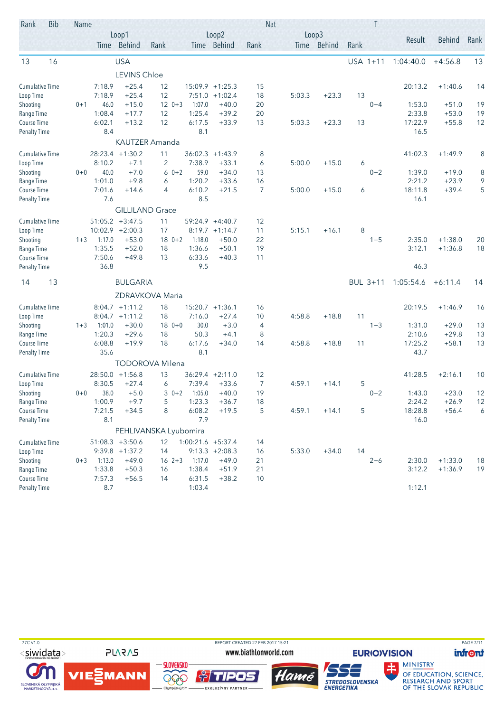| Rank                               | <b>Bib</b> | Name    |                  |                                         |                        |                   |                               |          | <b>Nat</b> |                      | Τ        |                   |                    |        |
|------------------------------------|------------|---------|------------------|-----------------------------------------|------------------------|-------------------|-------------------------------|----------|------------|----------------------|----------|-------------------|--------------------|--------|
|                                    |            |         |                  | Loop1<br>Time Behind                    | Rank                   |                   | Loop2<br>Time Behind          | Rank     |            | Loop3<br>Time Behind | Rank     | Result            | Behind             | Rank   |
| 13                                 | 16         |         |                  | <b>USA</b>                              |                        |                   |                               |          |            |                      | USA 1+11 | 1:04:40.0         | $+4:56.8$          | 13     |
|                                    |            |         |                  | <b>LEVINS Chloe</b>                     |                        |                   |                               |          |            |                      |          |                   |                    |        |
| <b>Cumulative Time</b>             |            |         | 7:18.9           | $+25.4$                                 | 12                     |                   | $15:09.9 + 1:25.3$            | 15       |            |                      |          | 20:13.2           | $+1:40.6$          | 14     |
| Loop Time                          |            |         | 7:18.9           | $+25.4$                                 | 12                     |                   | $7:51.0 +1:02.4$              | 18       | 5:03.3     | $+23.3$              | 13       |                   |                    |        |
| Shooting                           |            | $0 + 1$ | 46.0             | $+15.0$                                 | $120+3$                | 1:07.0            | $+40.0$                       | 20       |            |                      | $0 + 4$  | 1:53.0            | $+51.0$            | 19     |
| Range Time                         |            |         | 1:08.4           | $+17.7$                                 | 12                     | 1:25.4            | $+39.2$                       | 20       |            |                      |          | 2:33.8            | $+53.0$            | 19     |
| Course Time                        |            |         | 6:02.1           | $+13.2$                                 | 12                     | 6:17.5            | $+33.9$                       | 13       | 5:03.3     | $+23.3$              | 13       | 17:22.9           | $+55.8$            | 12     |
| <b>Penalty Time</b>                |            |         | 8.4              |                                         |                        | 8.1               |                               |          |            |                      |          | 16.5              |                    |        |
|                                    |            |         |                  |                                         | KAUTZER Amanda         |                   |                               |          |            |                      |          |                   |                    |        |
| <b>Cumulative Time</b>             |            |         |                  | $28:23.4$ +1:30.2                       | 11                     | 36:02.3           | $+1:43.9$                     | 8        |            |                      |          | 41:02.3           | $+1:49.9$          | 8      |
| Loop Time                          |            |         | 8:10.2           | $+7.1$                                  | $\overline{2}$         | 7:38.9            | $+33.1$                       | 6        | 5:00.0     | $+15.0$              | 6        |                   |                    |        |
| Shooting                           |            | $0 + 0$ | 40.0             | $+7.0$                                  | $60+2$                 | 59.0              | $+34.0$                       | 13       |            |                      | $0 + 2$  | 1:39.0            | $+19.0$            | 8      |
| Range Time<br>Course Time          |            |         | 1:01.0<br>7:01.6 | $+9.8$<br>$+14.6$                       | 6<br>4                 | 1:20.2<br>6:10.2  | $+33.6$<br>$+21.5$            | 16<br>7  | 5:00.0     | $+15.0$              | 6        | 2:21.2<br>18:11.8 | $+23.9$<br>$+39.4$ | 9<br>5 |
| <b>Penalty Time</b>                |            |         | 7.6              |                                         |                        | 8.5               |                               |          |            |                      |          | 16.1              |                    |        |
|                                    |            |         |                  | <b>GILLILAND Grace</b>                  |                        |                   |                               |          |            |                      |          |                   |                    |        |
|                                    |            |         |                  |                                         |                        |                   |                               |          |            |                      |          |                   |                    |        |
| <b>Cumulative Time</b>             |            |         |                  | $51:05.2 +3:47.5$<br>$10:02.9 + 2:00.3$ | 11<br>17               | 59:24.9           | $+4:40.7$<br>$8:19.7 +1:14.7$ | 12<br>11 | 5:15.1     | $+16.1$              | 8        |                   |                    |        |
| Loop Time<br>Shooting              |            | $1 + 3$ | 1:17.0           | $+53.0$                                 | $180+2$                | 1:18.0            | $+50.0$                       | 22       |            |                      | $1 + 5$  | 2:35.0            | $+1:38.0$          | 20     |
| Range Time                         |            |         | 1:35.5           | $+52.0$                                 | 18                     | 1:36.6            | $+50.1$                       | 19       |            |                      |          | 3:12.1            | $+1:36.8$          | 18     |
| Course Time                        |            |         | 7:50.6           | $+49.8$                                 | 13                     | 6:33.6            | $+40.3$                       | 11       |            |                      |          |                   |                    |        |
| <b>Penalty Time</b>                |            |         | 36.8             |                                         |                        | 9.5               |                               |          |            |                      |          | 46.3              |                    |        |
| 14                                 | 13         |         |                  | <b>BULGARIA</b>                         |                        |                   |                               |          |            |                      | BUL 3+11 | 1:05:54.6         | $+6:11.4$          | 14     |
|                                    |            |         |                  |                                         | ZDRAVKOVA Maria        |                   |                               |          |            |                      |          |                   |                    |        |
| <b>Cumulative Time</b>             |            |         |                  | $8:04.7 +1:11.2$                        | 18                     |                   | $15:20.7 + 1:36.1$            | 16       |            |                      |          | 20:19.5           | $+1:46.9$          | 16     |
| Loop Time                          |            |         | 8:04.7           | $+1:11.2$                               | 18                     | 7:16.0            | $+27.4$                       | 10       | 4:58.8     | $+18.8$              | 11       |                   |                    |        |
| Shooting                           |            | $1 + 3$ | 1:01.0           | $+30.0$                                 | $180++0$               | 30.0              | $+3.0$                        | 4        |            |                      | $1 + 3$  | 1:31.0            | $+29.0$            | 13     |
| Range Time                         |            |         | 1:20.3           | $+29.6$                                 | 18                     | 50.3              | $+4.1$                        | 8        |            |                      |          | 2:10.6            | $+29.8$            | 13     |
| Course Time                        |            |         | 6:08.8           | $+19.9$                                 | 18                     | 6:17.6            | $+34.0$                       | 14       | 4:58.8     | $+18.8$              | 11       | 17:25.2           | $+58.1$            | 13     |
| <b>Penalty Time</b>                |            |         | 35.6             |                                         |                        | 8.1               |                               |          |            |                      |          | 43.7              |                    |        |
|                                    |            |         |                  |                                         | <b>TODOROVA Milena</b> |                   |                               |          |            |                      |          |                   |                    |        |
| <b>Cumulative Time</b>             |            |         | 28:50.0          | $+1:56.8$                               | 13                     |                   | $36:29.4$ +2:11.0             | 12       |            |                      |          | 41:28.5           | $+2:16.1$          | 10     |
| Loop Time                          |            |         | 8:30.5           | $+27.4$                                 | 6                      | 7:39.4            | $+33.6$                       | 7        | 4:59.1     | $+14.1$              | 5        |                   |                    |        |
| Shooting                           |            | $0 + 0$ | 38.0             | $+5.0$                                  | $30+2$                 | 1:05.0            | $+40.0$                       | 19       |            |                      | $0 + 2$  | 1:43.0            | $+23.0$            | 12     |
| Range Time                         |            |         | 1:00.9           | $+9.7$                                  | 5                      | 1:23.3            | $+36.7$                       | 18       |            |                      |          | 2:24.2            | $+26.9$            | 12     |
| Course Time                        |            |         | 7:21.5           | $+34.5$                                 | 8                      | 6:08.2            | $+19.5$                       | 5        | 4:59.1     | $+14.1$              | 5        | 18:28.8           | $+56.4$            | 6      |
| <b>Penalty Time</b>                |            |         | 8.1              |                                         |                        | 7.9               |                               |          |            |                      |          | 16.0              |                    |        |
|                                    |            |         |                  |                                         | PEHLIVANSKA Lyubomira  |                   |                               |          |            |                      |          |                   |                    |        |
| <b>Cumulative Time</b>             |            |         |                  | $51:08.3 + 3:50.6$                      | 12                     | 1:00:21.6 +5:37.4 |                               | 14       |            |                      |          |                   |                    |        |
| Loop Time                          |            |         |                  | $9:39.8 +1:37.2$                        | 14                     |                   | $9:13.3 +2:08.3$              | 16       | 5:33.0     | $+34.0$              | 14       |                   |                    |        |
| Shooting                           |            | $0 + 3$ | 1:13.0           | $+49.0$                                 | $16 \t2+3$             | 1:17.0            | $+49.0$                       | 21       |            |                      | $2 + 6$  | 2:30.0            | $+1:33.0$          | 18     |
| Range Time                         |            |         | 1:33.8           | $+50.3$                                 | 16                     | 1:38.4            | $+51.9$                       | 21       |            |                      |          | 3:12.2            | $+1:36.9$          | 19     |
| Course Time<br><b>Penalty Time</b> |            |         | 7:57.3<br>8.7    | $+56.5$                                 | 14                     | 6:31.5<br>1:03.4  | $+38.2$                       | 10       |            |                      |          | 1:12.1            |                    |        |
|                                    |            |         |                  |                                         |                        |                   |                               |          |            |                      |          |                   |                    |        |

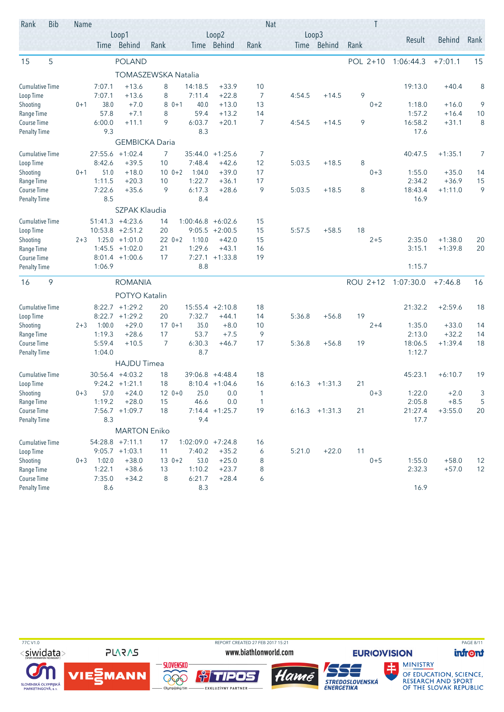| Rank                   | <b>Bib</b> | Name    |                  |                                       |                     |                     |                                       | <b>Nat</b>     |        |                  |          |         |                   |               |      |
|------------------------|------------|---------|------------------|---------------------------------------|---------------------|---------------------|---------------------------------------|----------------|--------|------------------|----------|---------|-------------------|---------------|------|
|                        |            |         |                  | Loop1<br>Time Behind                  | Rank                |                     | Loop2<br>Time Behind                  | Rank           | Loop3  | Time Behind      | Rank     |         | Result            | <b>Behind</b> | Rank |
| 15                     | 5          |         |                  | <b>POLAND</b>                         |                     |                     |                                       |                |        |                  | POL 2+10 |         | 1:06:44.3         | $+7:01.1$     | 15   |
|                        |            |         |                  |                                       | TOMASZEWSKA Natalia |                     |                                       |                |        |                  |          |         |                   |               |      |
| <b>Cumulative Time</b> |            |         | 7:07.1           | $+13.6$                               | 8                   | 14:18.5             | $+33.9$                               | 10             |        |                  |          |         | 19:13.0           | $+40.4$       | 8    |
| Loop Time              |            |         | 7:07.1           | $+13.6$                               | 8                   | 7:11.4              | $+22.8$                               | 7              | 4:54.5 | $+14.5$          | 9        |         |                   |               |      |
| Shooting               |            | $0 + 1$ | 38.0             | $+7.0$                                | $80+1$              | 40.0                | $+13.0$                               | 13             |        |                  |          | $0 + 2$ | 1:18.0            | $+16.0$       | 9    |
| Range Time             |            |         | 57.8             | $+7.1$                                | 8                   | 59.4                | $+13.2$                               | 14             |        |                  |          |         | 1:57.2            | $+16.4$       | 10   |
| Course Time            |            |         | 6:00.0           | $+11.1$                               | 9                   | 6:03.7              | $+20.1$                               | $\overline{7}$ | 4:54.5 | $+14.5$          | 9        |         | 16:58.2           | $+31.1$       | 8    |
| <b>Penalty Time</b>    |            |         | 9.3              | <b>GEMBICKA Daria</b>                 |                     | 8.3                 |                                       |                |        |                  |          |         | 17.6              |               |      |
| Cumulative Time        |            |         |                  | 27:55.6 +1:02.4                       | 7                   | 35:44.0             | $+1:25.6$                             | 7              |        |                  |          |         | 40:47.5           | $+1:35.1$     | 7    |
| Loop Time              |            |         | 8:42.6           | $+39.5$                               | 10                  | 7:48.4              | $+42.6$                               | 12             | 5:03.5 | $+18.5$          | 8        |         |                   |               |      |
| Shooting               |            | $0 + 1$ | 51.0             | $+18.0$                               | $10 \t 0+2$         | 1:04.0              | $+39.0$                               | 17             |        |                  |          | $0 + 3$ | 1:55.0            | $+35.0$       | 14   |
| Range Time             |            |         | 1:11.5           | $+20.3$                               | 10                  | 1:22.7              | $+36.1$                               | 17             |        |                  |          |         | 2:34.2            | $+36.9$       | 15   |
| Course Time            |            |         | 7:22.6           | $+35.6$                               | 9                   | 6:17.3              | $+28.6$                               | 9              | 5:03.5 | $+18.5$          | 8        |         | 18:43.4           | $+1:11.0$     | 9    |
| <b>Penalty Time</b>    |            |         | 8.5              |                                       |                     | 8.4                 |                                       |                |        |                  |          |         | 16.9              |               |      |
|                        |            |         |                  | <b>SZPAK Klaudia</b>                  |                     |                     |                                       |                |        |                  |          |         |                   |               |      |
| <b>Cumulative Time</b> |            |         | 51:41.3          | $+4:23.6$                             | 14                  | 1:00:46.8           | $+6:02.6$                             | 15             |        |                  |          |         |                   |               |      |
| Loop Time              |            |         |                  | $10:53.8 + 2:51.2$                    | 20                  | 9:05.5              | $+2:00.5$                             | 15             | 5:57.5 | $+58.5$          | 18       |         |                   |               |      |
| Shooting               |            | $2 + 3$ | 1:25.0           | $+1:01.0$                             | $220+2$             | 1:10.0              | $+42.0$                               | 15             |        |                  |          | $2 + 5$ | 2:35.0            | $+1:38.0$     | 20   |
| Range Time             |            |         | 1:45.5           | $+1:02.0$                             | 21                  | 1:29.6              | $+43.1$                               | 16             |        |                  |          |         | 3:15.1            | $+1:39.8$     | 20   |
| Course Time            |            |         |                  | $8:01.4$ +1:00.6                      | 17                  |                     | $7:27.1 +1:33.8$                      | 19             |        |                  |          |         |                   |               |      |
| <b>Penalty Time</b>    |            |         | 1:06.9           |                                       |                     | 8.8                 |                                       |                |        |                  |          |         | 1:15.7            |               |      |
| 16                     | 9          |         |                  | <b>ROMANIA</b>                        |                     |                     |                                       |                |        |                  | ROU 2+12 |         | 1:07:30.0         | $+7:46.8$     | 16   |
|                        |            |         |                  | POTYO Katalin                         |                     |                     |                                       |                |        |                  |          |         |                   |               |      |
| <b>Cumulative Time</b> |            |         | 8:22.7           | $+1:29.2$                             | 20                  |                     | $15:55.4 +2:10.8$                     | 18             |        |                  |          |         | 21:32.2           | $+2:59.6$     | 18   |
| Loop Time              |            |         | 8:22.7           | $+1:29.2$                             | 20                  | 7:32.7              | $+44.1$                               | 14             | 5:36.8 | $+56.8$          | 19       |         |                   |               |      |
| Shooting               |            | $2 + 3$ | 1:00.0           | $+29.0$                               | $170+1$             | 35.0                | $+8.0$                                | 10             |        |                  |          | $2 + 4$ | 1:35.0            | $+33.0$       | 14   |
| Range Time             |            |         | 1:19.3           | $+28.6$                               | 17                  | 53.7                | $+7.5$                                | 9              |        |                  |          |         | 2:13.0            | $+32.2$       | 14   |
| Course Time            |            |         | 5:59.4<br>1:04.0 | $+10.5$                               | 7                   | 6:30.3<br>8.7       | $+46.7$                               | 17             | 5:36.8 | $+56.8$          | 19       |         | 18:06.5<br>1:12.7 | $+1:39.4$     | 18   |
| <b>Penalty Time</b>    |            |         |                  | <b>HAJDU Timea</b>                    |                     |                     |                                       |                |        |                  |          |         |                   |               |      |
| <b>Cumulative Time</b> |            |         |                  |                                       |                     |                     |                                       |                |        |                  |          |         |                   |               |      |
| Loop Time              |            |         |                  | $30:56.4 +4:03.2$<br>$9:24.2 +1:21.1$ | 18<br>18            |                     | $39:06.8 +4:48.4$<br>$8:10.4 +1:04.6$ | 18<br>16       | 6:16.3 | $+1:31.3$        | 21       |         | 45:23.1           | $+6:10.7$     | 19   |
| Shooting               |            | $0 + 3$ | 57.0             | $+24.0$                               | $120+0$             | 25.0                | 0.0                                   | $\mathbf{1}$   |        |                  |          | $0 + 3$ | 1:22.0            | $+2.0$        | 3    |
| Range Time             |            |         | 1:19.2           | $+28.0$                               | 15                  | 46.6                | 0.0                                   | $\mathbf{1}$   |        |                  |          |         | 2:05.8            | $+8.5$        | 5    |
| Course Time            |            |         |                  | $7:56.7 +1:09.7$                      | 18                  |                     | $7:14.4 + 1:25.7$                     | 19             |        | $6:16.3$ +1:31.3 | 21       |         | 21:27.4           | $+3:55.0$     | 20   |
| <b>Penalty Time</b>    |            |         | 8.3              |                                       |                     | 9.4                 |                                       |                |        |                  |          |         | 17.7              |               |      |
|                        |            |         |                  | <b>MARTON Eniko</b>                   |                     |                     |                                       |                |        |                  |          |         |                   |               |      |
| <b>Cumulative Time</b> |            |         |                  | $54:28.8$ +7:11.1                     | 17                  | $1:02:09.0 +7:24.8$ |                                       | 16             |        |                  |          |         |                   |               |      |
| Loop Time              |            |         |                  | $9:05.7 +1:03.1$                      | 11                  | 7:40.2              | $+35.2$                               | 6              | 5:21.0 | $+22.0$          | 11       |         |                   |               |      |
| Shooting               |            | $0 + 3$ | 1:02.0           | $+38.0$                               | $130+2$             | 53.0                | $+25.0$                               | 8              |        |                  |          | $0 + 5$ | 1:55.0            | $+58.0$       | 12   |
| Range Time             |            |         | 1:22.1           | $+38.6$                               | 13                  | 1:10.2              | $+23.7$                               | 8              |        |                  |          |         | 2:32.3            | $+57.0$       | 12   |
| Course Time            |            |         | 7:35.0           | $+34.2$                               | 8                   | 6:21.7              | $+28.4$                               | 6              |        |                  |          |         |                   |               |      |
| <b>Penalty Time</b>    |            |         | 8.6              |                                       |                     | 8.3                 |                                       |                |        |                  |          |         | 16.9              |               |      |

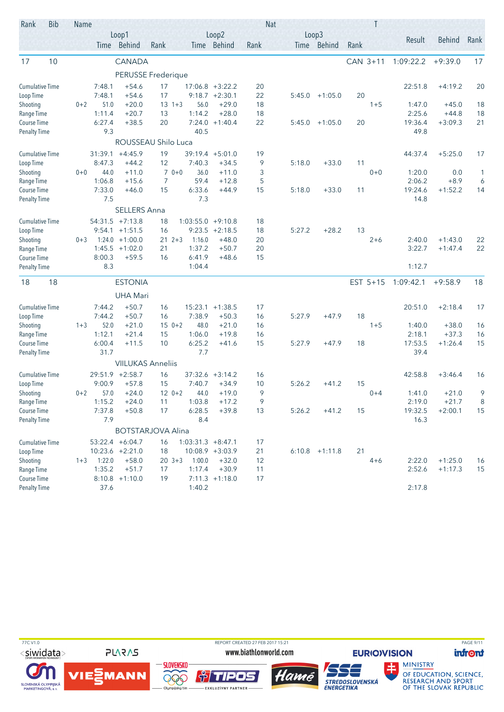| Rank                               | <b>Bib</b> | Name    |                  |                          |                          |                     |                    | <b>Nat</b> |        |                  |          |          |                  |                        |          |
|------------------------------------|------------|---------|------------------|--------------------------|--------------------------|---------------------|--------------------|------------|--------|------------------|----------|----------|------------------|------------------------|----------|
|                                    |            |         |                  | Loop1                    |                          |                     | Loop2              |            |        | Loop3            |          |          | Result           | <b>Behind</b>          | Rank     |
|                                    |            |         |                  | Time Behind              | Rank                     |                     | Time Behind        | Rank       |        | Time Behind      | Rank     |          |                  |                        |          |
| 17                                 | 10         |         |                  | CANADA                   |                          |                     |                    |            |        |                  | CAN 3+11 |          | 1:09:22.2        | $+9:39.0$              | 17       |
|                                    |            |         |                  |                          | PERUSSE Frederique       |                     |                    |            |        |                  |          |          |                  |                        |          |
| <b>Cumulative Time</b>             |            |         | 7:48.1           | $+54.6$                  | 17                       |                     | $17:06.8$ +3:22.2  | 20         |        |                  |          |          | 22:51.8          | $+4:19.2$              | 20       |
| Loop Time                          |            |         | 7:48.1           | $+54.6$                  | 17                       |                     | $9:18.7 +2:30.1$   | 22         | 5:45.0 | $+1:05.0$        | 20       |          |                  |                        |          |
| Shooting                           |            | $0 + 2$ | 51.0             | $+20.0$                  | $13 + 3$                 | 56.0                | $+29.0$            | 18         |        |                  |          | $1 + 5$  | 1:47.0           | $+45.0$                | 18       |
| Range Time                         |            |         | 1:11.4           | $+20.7$                  | 13                       | 1:14.2              | $+28.0$            | 18         |        |                  |          |          | 2:25.6           | $+44.8$                | 18       |
| Course Time                        |            |         | 6:27.4           | $+38.5$                  | 20                       | 7:24.0              | $+1:40.4$          | 22         | 5:45.0 | $+1:05.0$        | 20       |          | 19:36.4          | $+3:09.3$              | 21       |
| <b>Penalty Time</b>                |            |         | 9.3              |                          |                          | 40.5                |                    |            |        |                  |          |          | 49.8             |                        |          |
|                                    |            |         |                  |                          | ROUSSEAU Shilo Luca      |                     |                    |            |        |                  |          |          |                  |                        |          |
| Cumulative Time                    |            |         | 31:39.1          | $+4:45.9$                | 19                       | 39:19.4 +5:01.0     |                    | 19         |        |                  |          |          | 44:37.4          | $+5:25.0$              | 17       |
| Loop Time                          |            |         | 8:47.3           | $+44.2$                  | 12                       | 7:40.3              | $+34.5$            | 9          | 5:18.0 | $+33.0$          | 11       |          |                  |                        |          |
| Shooting                           |            | $0 + 0$ | 44.0             | $+11.0$                  | $70+0$                   | 36.0                | $+11.0$            | 3          |        |                  |          | $0 + 0$  | 1:20.0           | 0.0                    | 1        |
| Range Time                         |            |         | 1:06.8           | $+15.6$                  | 7                        | 59.4                | $+12.8$            | 5          |        |                  |          |          | 2:06.2           | $+8.9$                 | 6        |
| Course Time                        |            |         | 7:33.0<br>7.5    | $+46.0$                  | 15                       | 6:33.6<br>7.3       | $+44.9$            | 15         | 5:18.0 | $+33.0$          | 11       |          | 19:24.6<br>14.8  | $+1:52.2$              | 14       |
| <b>Penalty Time</b>                |            |         |                  | <b>SELLERS Anna</b>      |                          |                     |                    |            |        |                  |          |          |                  |                        |          |
|                                    |            |         |                  |                          |                          |                     |                    |            |        |                  |          |          |                  |                        |          |
| <b>Cumulative Time</b>             |            |         | 54:31.5          | $+7:13.8$                | 18                       | 1:03:55.0           | $+9:10.8$          | 18         |        |                  |          |          |                  |                        |          |
| Loop Time                          |            |         | 9:54.1           | $+1:51.5$                | 16                       | 9:23.5              | $+2:18.5$          | 18         | 5:27.2 | $+28.2$          | 13       |          |                  |                        |          |
| Shooting                           |            | $0 + 3$ | 1:24.0<br>1:45.5 | $+1:00.0$<br>$+1:02.0$   | 21<br>$2 + 3$<br>21      | 1:16.0<br>1:37.2    | $+48.0$<br>$+50.7$ | 20<br>20   |        |                  |          | $2 + 6$  | 2:40.0<br>3:22.7 | $+1:43.0$<br>$+1:47.4$ | 22<br>22 |
| Range Time<br>Course Time          |            |         | 8:00.3           | $+59.5$                  | 16                       | 6:41.9              | $+48.6$            | 15         |        |                  |          |          |                  |                        |          |
| <b>Penalty Time</b>                |            |         | 8.3              |                          |                          | 1:04.4              |                    |            |        |                  |          |          | 1:12.7           |                        |          |
|                                    |            |         |                  |                          |                          |                     |                    |            |        |                  |          |          |                  |                        |          |
| 18                                 | 18         |         |                  | <b>ESTONIA</b>           |                          |                     |                    |            |        |                  |          | EST 5+15 | 1:09:42.1        | $+9:58.9$              | 18       |
|                                    |            |         |                  | <b>UHA Mari</b>          |                          |                     |                    |            |        |                  |          |          |                  |                        |          |
| <b>Cumulative Time</b>             |            |         | 7:44.2           | $+50.7$                  | 16                       | 15:23.1             | $+1:38.5$          | 17         |        |                  |          |          | 20:51.0          | $+2:18.4$              | 17       |
| Loop Time                          |            |         | 7:44.2           | $+50.7$                  | 16                       | 7:38.9              | $+50.3$            | 16         | 5:27.9 | $+47.9$          | 18       |          |                  |                        |          |
| Shooting                           |            | $1 + 3$ | 52.0             | $+21.0$                  | $150+2$                  | 48.0                | $+21.0$            | 16         |        |                  |          | $1 + 5$  | 1:40.0           | $+38.0$                | 16       |
| Range Time                         |            |         | 1:12.1           | $+21.4$                  | 15                       | 1:06.0              | $+19.8$            | 16         |        |                  |          |          | 2:18.1           | $+37.3$                | 16       |
| Course Time<br><b>Penalty Time</b> |            |         | 6:00.4<br>31.7   | $+11.5$                  | 10                       | 6:25.2<br>7.7       | $+41.6$            | 15         | 5:27.9 | $+47.9$          | 18       |          | 17:53.5<br>39.4  | $+1:26.4$              | 15       |
|                                    |            |         |                  | <b>VIILUKAS Anneliis</b> |                          |                     |                    |            |        |                  |          |          |                  |                        |          |
|                                    |            |         |                  |                          |                          |                     |                    |            |        |                  |          |          |                  |                        |          |
| <b>Cumulative Time</b>             |            |         | 29:51.9          | $+2:58.7$<br>$+57.8$     | 16                       |                     | $37:32.6 +3:14.2$  | 16<br>10   | 5:26.2 | $+41.2$          | 15       |          | 42:58.8          | $+3:46.4$              | 16       |
| Loop Time                          |            | $0 + 2$ | 9:00.9<br>57.0   | $+24.0$                  | 15<br>$120+2$            | 7:40.7<br>44.0      | $+34.9$<br>$+19.0$ | 9          |        |                  |          | $0 + 4$  | 1:41.0           | $+21.0$                | 9        |
| Shooting<br>Range Time             |            |         | 1:15.2           | $+24.0$                  | 11                       | 1:03.8              | $+17.2$            | 9          |        |                  |          |          | 2:19.0           | $+21.7$                | 8        |
| Course Time                        |            |         | 7:37.8           | $+50.8$                  | 17                       | 6:28.5              | $+39.8$            | 13         | 5:26.2 | $+41.2$          | 15       |          | 19:32.5          | $+2:00.1$              | 15       |
| <b>Penalty Time</b>                |            |         | 7.9              |                          |                          | 8.4                 |                    |            |        |                  |          |          | 16.3             |                        |          |
|                                    |            |         |                  |                          | <b>BOTSTARJOVA Alina</b> |                     |                    |            |        |                  |          |          |                  |                        |          |
| <b>Cumulative Time</b>             |            |         |                  | $53:22.4 +6:04.7$        | 16                       | $1:03:31.3 +8:47.1$ |                    | 17         |        |                  |          |          |                  |                        |          |
| Loop Time                          |            |         |                  | $10:23.6 +2:21.0$        | 18                       |                     | 10:08.9 +3:03.9    | 21         |        | $6:10.8$ +1:11.8 | 21       |          |                  |                        |          |
| Shooting                           |            | $1 + 3$ | 1:22.0           | $+58.0$                  | $20 \t3+3$               | 1:00.0              | $+32.0$            | 12         |        |                  |          | $4 + 6$  | 2:22.0           | $+1:25.0$              | 16       |
| Range Time                         |            |         | 1:35.2           | $+51.7$                  | 17                       | 1:17.4              | $+30.9$            | 11         |        |                  |          |          | 2:52.6           | $+1:17.3$              | 15       |
| Course Time                        |            |         |                  | $8:10.8$ +1:10.0         | 19                       |                     | $7:11.3 +1:18.0$   | 17         |        |                  |          |          |                  |                        |          |
| <b>Penalty Time</b>                |            |         | 37.6             |                          |                          | 1:40.2              |                    |            |        |                  |          |          | 2:17.8           |                        |          |

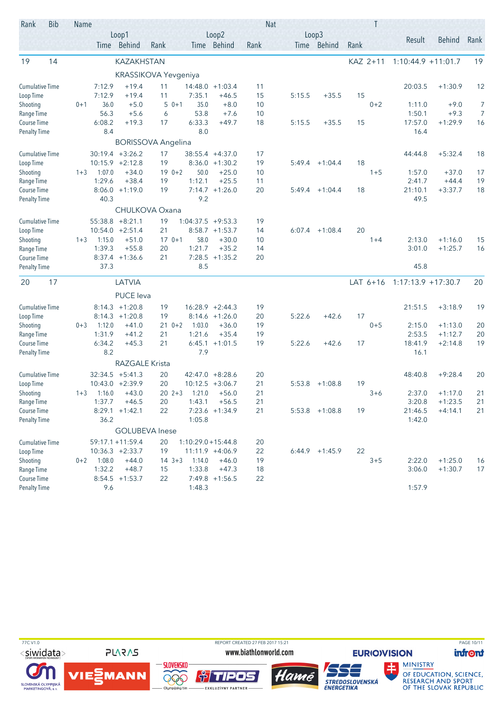| Rank                         | <b>Bib</b> | Name    |               |                                         |                           |                       |                                        |          | <b>Nat</b> |                      |      |          |                       |               |                |
|------------------------------|------------|---------|---------------|-----------------------------------------|---------------------------|-----------------------|----------------------------------------|----------|------------|----------------------|------|----------|-----------------------|---------------|----------------|
|                              |            |         |               | Loop1<br>Time Behind                    | Rank                      |                       | Loop2<br>Time Behind                   | Rank     |            | Loop3<br>Time Behind | Rank |          | Result                | <b>Behind</b> | Rank           |
| 19                           | 14         |         |               | <b>KAZAKHSTAN</b>                       |                           |                       |                                        |          |            |                      |      | KAZ 2+11 | $1:10:44.9 + 11:01.7$ |               | 19             |
|                              |            |         |               |                                         | KRASSIKOVA Yevgeniya      |                       |                                        |          |            |                      |      |          |                       |               |                |
| <b>Cumulative Time</b>       |            |         | 7:12.9        | $+19.4$                                 | 11                        |                       | $14:48.0 + 1:03.4$                     | 11       |            |                      |      |          | 20:03.5               | $+1:30.9$     | 12             |
| Loop Time                    |            |         | 7:12.9        | $+19.4$                                 | 11                        | 7:35.1                | $+46.5$                                | 15       | 5:15.5     | $+35.5$              | 15   |          |                       |               |                |
| Shooting                     |            | $0 + 1$ | 36.0          | $+5.0$                                  | $50+1$                    | 35.0                  | $+8.0$                                 | 10       |            |                      |      | $0 + 2$  | 1:11.0                | $+9.0$        | 7              |
| Range Time                   |            |         | 56.3          | $+5.6$                                  | 6                         | 53.8                  | $+7.6$                                 | 10       |            |                      |      |          | 1:50.1                | $+9.3$        | $\overline{7}$ |
| Course Time                  |            |         | 6:08.2        | $+19.3$                                 | 17                        | 6:33.3                | $+49.7$                                | 18       | 5:15.5     | $+35.5$              | 15   |          | 17:57.0               | $+1:29.9$     | 16             |
| <b>Penalty Time</b>          |            |         | 8.4           |                                         | <b>BORISSOVA Angelina</b> | 8.0                   |                                        |          |            |                      |      |          | 16.4                  |               |                |
|                              |            |         |               |                                         |                           |                       |                                        |          |            |                      |      |          |                       | $+5:32.4$     |                |
| Cumulative Time<br>Loop Time |            |         |               | $30:19.4 + 3:26.2$<br>$10:15.9 +2:12.8$ | 17<br>19                  |                       | 38:55.4 +4:37.0<br>$8:36.0 +1:30.2$    | 17<br>19 | 5:49.4     | $+1:04.4$            | 18   |          | 44:44.8               |               | 18             |
| Shooting                     |            | $1 + 3$ | 1:07.0        | $+34.0$                                 | $190+2$                   | 50.0                  | $+25.0$                                | 10       |            |                      |      | $1 + 5$  | 1:57.0                | $+37.0$       | 17             |
| Range Time                   |            |         | 1:29.6        | $+38.4$                                 | 19                        | 1:12.1                | $+25.5$                                | 11       |            |                      |      |          | 2:41.7                | $+44.4$       | 19             |
| Course Time                  |            |         | 8:06.0        | $+1:19.0$                               | 19                        |                       | $7:14.7 +1:26.0$                       | 20       | 5:49.4     | $+1:04.4$            | 18   |          | 21:10.1               | $+3:37.7$     | 18             |
| <b>Penalty Time</b>          |            |         | 40.3          |                                         |                           | 9.2                   |                                        |          |            |                      |      |          | 49.5                  |               |                |
|                              |            |         |               |                                         | CHULKOVA Oxana            |                       |                                        |          |            |                      |      |          |                       |               |                |
| <b>Cumulative Time</b>       |            |         | 55:38.8       | $+8:21.1$                               | 19                        | $1:04:37.5 +9:53.3$   |                                        | 19       |            |                      |      |          |                       |               |                |
| Loop Time                    |            |         | 10:54.0       | $+2:51.4$                               | 21                        |                       | $8:58.7 +1:53.7$                       | 14       | 6:07.4     | $+1:08.4$            | 20   |          |                       |               |                |
| Shooting                     |            | $1 + 3$ | 1:15.0        | $+51.0$                                 | $170+1$                   | 58.0                  | $+30.0$                                | 10       |            |                      |      | $1 + 4$  | 2:13.0                | $+1:16.0$     | 15             |
| Range Time                   |            |         | 1:39.3        | $+55.8$                                 | 20                        | 1:21.7                | $+35.2$                                | 14       |            |                      |      |          | 3:01.0                | $+1:25.7$     | 16             |
| Course Time                  |            |         |               | $8:37.4$ +1:36.6                        | 21                        |                       | $7:28.5$ +1:35.2                       | 20       |            |                      |      |          |                       |               |                |
| <b>Penalty Time</b>          |            |         | 37.3          |                                         |                           | 8.5                   |                                        |          |            |                      |      |          | 45.8                  |               |                |
| 20                           | 17         |         |               | LATVIA                                  |                           |                       |                                        |          |            |                      |      | LAT 6+16 | $1:17:13.9 + 17:30.7$ |               | 20             |
|                              |            |         |               | PUCE leva                               |                           |                       |                                        |          |            |                      |      |          |                       |               |                |
| <b>Cumulative Time</b>       |            |         |               | $8:14.3 +1:20.8$                        | 19                        |                       | $16:28.9 +2:44.3$                      | 19       |            |                      |      |          | 21:51.5               | $+3:18.9$     | 19             |
| Loop Time                    |            |         |               | $8:14.3 +1:20.8$                        | 19                        |                       | $8:14.6 +1:26.0$                       | 20       | 5:22.6     | $+42.6$              | 17   |          |                       |               |                |
| Shooting                     |            | $0 + 3$ | 1:12.0        | $+41.0$                                 | $210+2$                   | 1:03.0                | $+36.0$                                | 19       |            |                      |      | $0 + 5$  | 2:15.0                | $+1:13.0$     | 20             |
| Range Time                   |            |         | 1:31.9        | $+41.2$                                 | 21                        | 1:21.6                | $+35.4$                                | 19       |            |                      |      |          | 2:53.5                | $+1:12.7$     | 20             |
| Course Time                  |            |         | 6:34.2<br>8.2 | $+45.3$                                 | 21                        | 7.9                   | $6:45.1 +1:01.5$                       | 19       | 5:22.6     | $+42.6$              | 17   |          | 18:41.9<br>16.1       | $+2:14.8$     | 19             |
| <b>Penalty Time</b>          |            |         |               | <b>RAZGALE Krista</b>                   |                           |                       |                                        |          |            |                      |      |          |                       |               |                |
| <b>Cumulative Time</b>       |            |         |               | $32:34.5 +5:41.3$                       |                           |                       |                                        |          |            |                      |      |          | 48:40.8               | $+9:28.4$     |                |
| Loop Time                    |            |         | 10:43.0       | $+2:39.9$                               | 20<br>20                  |                       | $42:47.0 +8:28.6$<br>$10:12.5 +3:06.7$ | 20<br>21 | 5:53.8     | $+1:08.8$            | 19   |          |                       |               | 20             |
| Shooting                     |            | $1 + 3$ | 1:16.0        | $+43.0$                                 | $202+3$                   | 1:21.0                | $+56.0$                                | 21       |            |                      |      | $3 + 6$  | 2:37.0                | $+1:17.0$     | 21             |
| Range Time                   |            |         | 1:37.7        | $+46.5$                                 | 20                        | 1:43.1                | $+56.5$                                | 21       |            |                      |      |          | 3:20.8                | $+1:23.5$     | 21             |
| Course Time                  |            |         |               | $8:29.1 +1:42.1$                        | 22                        |                       | 7:23.6 +1:34.9                         | 21       |            | $5:53.8$ +1:08.8     | 19   |          | 21:46.5               | $+4:14.1$     | 21             |
| <b>Penalty Time</b>          |            |         | 36.2          |                                         |                           | 1:05.8                |                                        |          |            |                      |      |          | 1:42.0                |               |                |
|                              |            |         |               |                                         | <b>GOLUBEVA Inese</b>     |                       |                                        |          |            |                      |      |          |                       |               |                |
| <b>Cumulative Time</b>       |            |         |               | $59:17.1 + 11:59.4$                     | 20                        | $1:10:29.0 + 15:44.8$ |                                        | 20       |            |                      |      |          |                       |               |                |
| Loop Time                    |            |         |               | $10:36.3 + 2:33.7$                      | 19                        |                       | 11:11.9 +4:06.9                        | 22       |            | $6:44.9$ +1:45.9     | 22   |          |                       |               |                |
| Shooting                     |            | $0 + 2$ | 1:08.0        | $+44.0$                                 | $14 \t3+3$                | 1:14.0                | $+46.0$                                | 19       |            |                      |      | $3 + 5$  | 2:22.0                | $+1:25.0$     | 16             |
| Range Time                   |            |         | 1:32.2        | $+48.7$                                 | 15                        | 1:33.8                | $+47.3$                                | 18       |            |                      |      |          | 3:06.0                | $+1:30.7$     | 17             |
| Course Time                  |            |         |               | $8:54.5 +1:53.7$                        | 22                        |                       | $7:49.8$ +1:56.5                       | 22       |            |                      |      |          |                       |               |                |
| <b>Penalty Time</b>          |            |         | 9.6           |                                         |                           | 1:48.3                |                                        |          |            |                      |      |          | 1:57.9                |               |                |